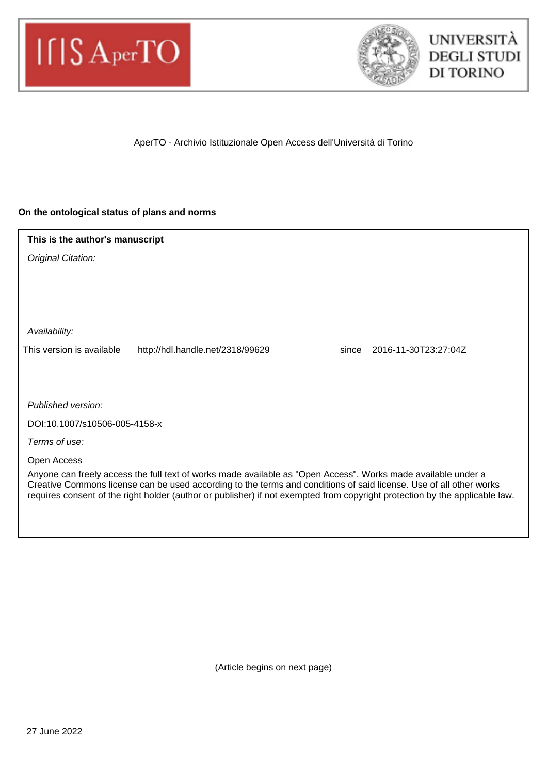



**UNIVERSITÀ DEGLI STUDI** DI TORINO

AperTO - Archivio Istituzionale Open Access dell'Università di Torino

## **On the ontological status of plans and norms**

| This is the author's manuscript                                                                                                                                                                                                                                                                                                                                    |                               |
|--------------------------------------------------------------------------------------------------------------------------------------------------------------------------------------------------------------------------------------------------------------------------------------------------------------------------------------------------------------------|-------------------------------|
| Original Citation:                                                                                                                                                                                                                                                                                                                                                 |                               |
|                                                                                                                                                                                                                                                                                                                                                                    |                               |
|                                                                                                                                                                                                                                                                                                                                                                    |                               |
|                                                                                                                                                                                                                                                                                                                                                                    |                               |
| Availability:                                                                                                                                                                                                                                                                                                                                                      |                               |
| This version is available<br>http://hdl.handle.net/2318/99629                                                                                                                                                                                                                                                                                                      | 2016-11-30T23:27:04Z<br>since |
|                                                                                                                                                                                                                                                                                                                                                                    |                               |
|                                                                                                                                                                                                                                                                                                                                                                    |                               |
| Published version:                                                                                                                                                                                                                                                                                                                                                 |                               |
| DOI:10.1007/s10506-005-4158-x                                                                                                                                                                                                                                                                                                                                      |                               |
| Terms of use:                                                                                                                                                                                                                                                                                                                                                      |                               |
| Open Access                                                                                                                                                                                                                                                                                                                                                        |                               |
| Anyone can freely access the full text of works made available as "Open Access". Works made available under a<br>Creative Commons license can be used according to the terms and conditions of said license. Use of all other works<br>requires consent of the right holder (author or publisher) if not exempted from copyright protection by the applicable law. |                               |
|                                                                                                                                                                                                                                                                                                                                                                    |                               |

(Article begins on next page)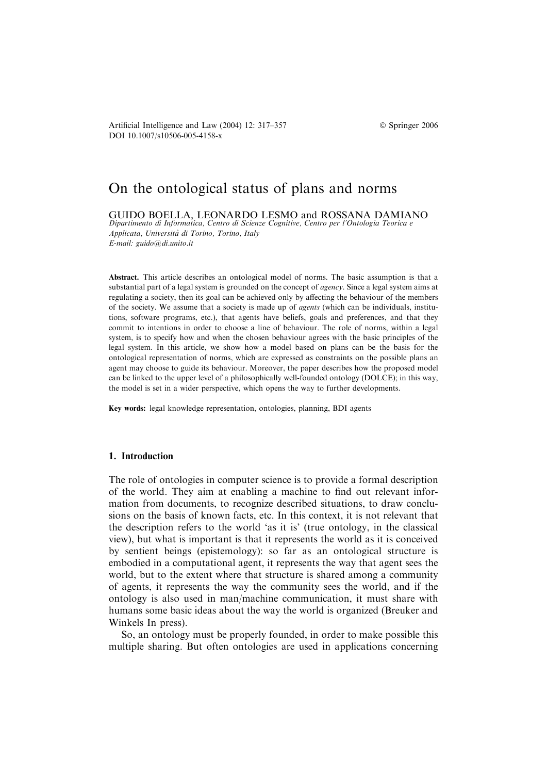Artificial Intelligence and Law  $(2004)$  12:  $317-357$   $\circ$  Springer 2006 DOI 10.1007/s10506-005-4158-x

# On the ontological status of plans and norms

GUIDO BOELLA, LEONARDO LESMO and ROSSANA DAMIANO Dipartimento di Informatica, Centro di Scienze Cognitive, Centro per l'Ontologia Teorica e Applicata, Universita` di Torino, Torino, Italy

E-mail: guido@di.unito.it

Abstract. This article describes an ontological model of norms. The basic assumption is that a substantial part of a legal system is grounded on the concept of *agency*. Since a legal system aims at regulating a society, then its goal can be achieved only by affecting the behaviour of the members of the society. We assume that a society is made up of agents (which can be individuals, institutions, software programs, etc.), that agents have beliefs, goals and preferences, and that they commit to intentions in order to choose a line of behaviour. The role of norms, within a legal system, is to specify how and when the chosen behaviour agrees with the basic principles of the legal system. In this article, we show how a model based on plans can be the basis for the ontological representation of norms, which are expressed as constraints on the possible plans an agent may choose to guide its behaviour. Moreover, the paper describes how the proposed model can be linked to the upper level of a philosophically well-founded ontology (DOLCE); in this way, the model is set in a wider perspective, which opens the way to further developments.

Key words: legal knowledge representation, ontologies, planning, BDI agents

## 1. Introduction

The role of ontologies in computer science is to provide a formal description of the world. They aim at enabling a machine to find out relevant information from documents, to recognize described situations, to draw conclusions on the basis of known facts, etc. In this context, it is not relevant that the description refers to the world 'as it is' (true ontology, in the classical view), but what is important is that it represents the world as it is conceived by sentient beings (epistemology): so far as an ontological structure is embodied in a computational agent, it represents the way that agent sees the world, but to the extent where that structure is shared among a community of agents, it represents the way the community sees the world, and if the ontology is also used in man/machine communication, it must share with humans some basic ideas about the way the world is organized (Breuker and Winkels In press).

So, an ontology must be properly founded, in order to make possible this multiple sharing. But often ontologies are used in applications concerning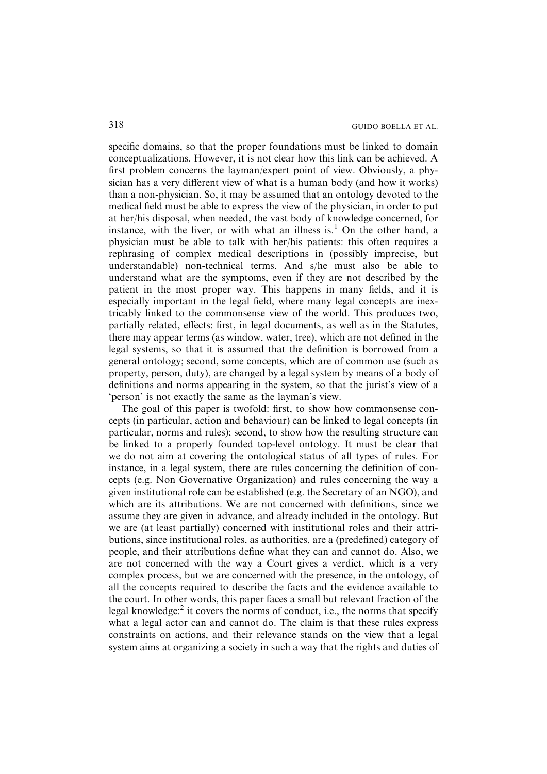specific domains, so that the proper foundations must be linked to domain conceptualizations. However, it is not clear how this link can be achieved. A first problem concerns the layman/expert point of view. Obviously, a physician has a very different view of what is a human body (and how it works) than a non-physician. So, it may be assumed that an ontology devoted to the medical field must be able to express the view of the physician, in order to put at her/his disposal, when needed, the vast body of knowledge concerned, for instance, with the liver, or with what an illness is.<sup>1</sup> On the other hand, a physician must be able to talk with her/his patients: this often requires a rephrasing of complex medical descriptions in (possibly imprecise, but understandable) non-technical terms. And s/he must also be able to understand what are the symptoms, even if they are not described by the patient in the most proper way. This happens in many fields, and it is especially important in the legal field, where many legal concepts are inextricably linked to the commonsense view of the world. This produces two, partially related, effects: first, in legal documents, as well as in the Statutes, there may appear terms (as window, water, tree), which are not defined in the legal systems, so that it is assumed that the definition is borrowed from a general ontology; second, some concepts, which are of common use (such as property, person, duty), are changed by a legal system by means of a body of definitions and norms appearing in the system, so that the jurist's view of a 'person' is not exactly the same as the layman's view.

The goal of this paper is twofold: first, to show how commonsense concepts (in particular, action and behaviour) can be linked to legal concepts (in particular, norms and rules); second, to show how the resulting structure can be linked to a properly founded top-level ontology. It must be clear that we do not aim at covering the ontological status of all types of rules. For instance, in a legal system, there are rules concerning the definition of concepts (e.g. Non Governative Organization) and rules concerning the way a given institutional role can be established (e.g. the Secretary of an NGO), and which are its attributions. We are not concerned with definitions, since we assume they are given in advance, and already included in the ontology. But we are (at least partially) concerned with institutional roles and their attributions, since institutional roles, as authorities, are a (predefined) category of people, and their attributions define what they can and cannot do. Also, we are not concerned with the way a Court gives a verdict, which is a very complex process, but we are concerned with the presence, in the ontology, of all the concepts required to describe the facts and the evidence available to the court. In other words, this paper faces a small but relevant fraction of the legal knowledge:<sup>2</sup> it covers the norms of conduct, i.e., the norms that specify what a legal actor can and cannot do. The claim is that these rules express constraints on actions, and their relevance stands on the view that a legal system aims at organizing a society in such a way that the rights and duties of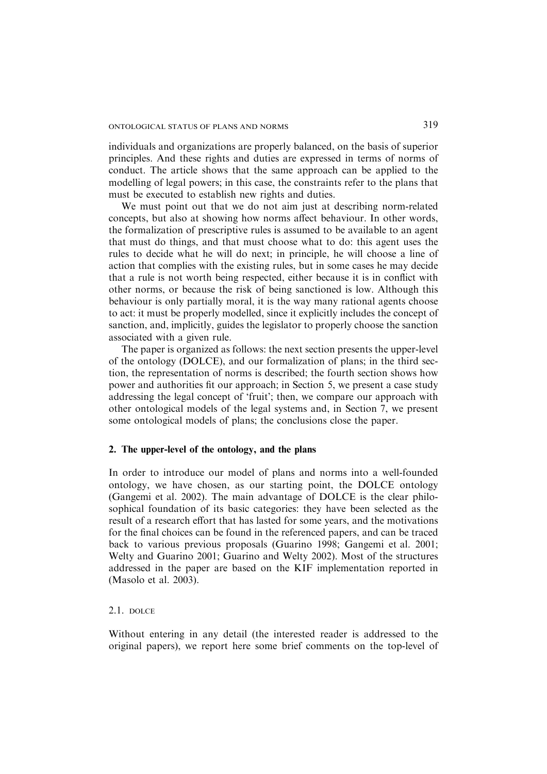individuals and organizations are properly balanced, on the basis of superior principles. And these rights and duties are expressed in terms of norms of conduct. The article shows that the same approach can be applied to the modelling of legal powers; in this case, the constraints refer to the plans that must be executed to establish new rights and duties.

We must point out that we do not aim just at describing norm-related concepts, but also at showing how norms affect behaviour. In other words, the formalization of prescriptive rules is assumed to be available to an agent that must do things, and that must choose what to do: this agent uses the rules to decide what he will do next; in principle, he will choose a line of action that complies with the existing rules, but in some cases he may decide that a rule is not worth being respected, either because it is in conflict with other norms, or because the risk of being sanctioned is low. Although this behaviour is only partially moral, it is the way many rational agents choose to act: it must be properly modelled, since it explicitly includes the concept of sanction, and, implicitly, guides the legislator to properly choose the sanction associated with a given rule.

The paper is organized as follows: the next section presents the upper-level of the ontology (DOLCE), and our formalization of plans; in the third section, the representation of norms is described; the fourth section shows how power and authorities fit our approach; in Section 5, we present a case study addressing the legal concept of 'fruit'; then, we compare our approach with other ontological models of the legal systems and, in Section 7, we present some ontological models of plans; the conclusions close the paper.

## 2. The upper-level of the ontology, and the plans

In order to introduce our model of plans and norms into a well-founded ontology, we have chosen, as our starting point, the DOLCE ontology (Gangemi et al. 2002). The main advantage of DOLCE is the clear philosophical foundation of its basic categories: they have been selected as the result of a research effort that has lasted for some years, and the motivations for the final choices can be found in the referenced papers, and can be traced back to various previous proposals (Guarino 1998; Gangemi et al. 2001; Welty and Guarino 2001; Guarino and Welty 2002). Most of the structures addressed in the paper are based on the KIF implementation reported in (Masolo et al. 2003).

## 2.1. DOLCE

Without entering in any detail (the interested reader is addressed to the original papers), we report here some brief comments on the top-level of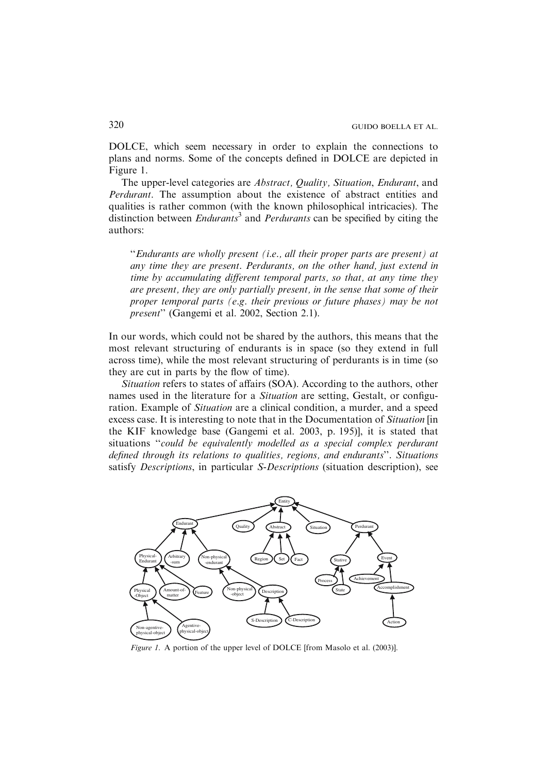DOLCE, which seem necessary in order to explain the connections to plans and norms. Some of the concepts defined in DOLCE are depicted in Figure 1.

The upper-level categories are Abstract, Quality, Situation, Endurant, and Perdurant. The assumption about the existence of abstract entities and qualities is rather common (with the known philosophical intricacies). The distinction between  $Endurants<sup>3</sup>$  and *Perdurants* can be specified by citing the authors:

''Endurants are wholly present (i.e., all their proper parts are present) at any time they are present. Perdurants, on the other hand, just extend in time by accumulating different temporal parts, so that, at any time they are present, they are only partially present, in the sense that some of their proper temporal parts (e.g. their previous or future phases) may be not present'' (Gangemi et al. 2002, Section 2.1).

In our words, which could not be shared by the authors, this means that the most relevant structuring of endurants is in space (so they extend in full across time), while the most relevant structuring of perdurants is in time (so they are cut in parts by the flow of time).

Situation refers to states of affairs (SOA). According to the authors, other names used in the literature for a Situation are setting, Gestalt, or configuration. Example of Situation are a clinical condition, a murder, and a speed excess case. It is interesting to note that in the Documentation of Situation [in the KIF knowledge base (Gangemi et al. 2003, p. 195)], it is stated that situations "could be equivalently modelled as a special complex perdurant defined through its relations to qualities, regions, and endurants''. Situations satisfy *Descriptions*, in particular *S-Descriptions* (situation description), see



Figure 1. A portion of the upper level of DOLCE [from Masolo et al. (2003)].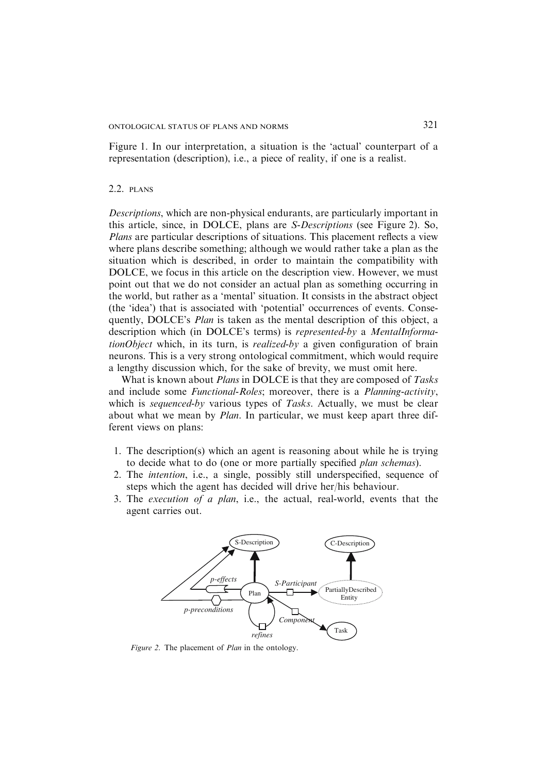Figure 1. In our interpretation, a situation is the 'actual' counterpart of a representation (description), i.e., a piece of reality, if one is a realist.

### 2.2. PLANS

Descriptions, which are non-physical endurants, are particularly important in this article, since, in DOLCE, plans are S-Descriptions (see Figure 2). So, Plans are particular descriptions of situations. This placement reflects a view where plans describe something; although we would rather take a plan as the situation which is described, in order to maintain the compatibility with DOLCE, we focus in this article on the description view. However, we must point out that we do not consider an actual plan as something occurring in the world, but rather as a 'mental' situation. It consists in the abstract object (the 'idea') that is associated with 'potential' occurrences of events. Consequently, DOLCE's Plan is taken as the mental description of this object, a description which (in DOLCE's terms) is represented-by a MentalInformationObject which, in its turn, is realized-by a given configuration of brain neurons. This is a very strong ontological commitment, which would require a lengthy discussion which, for the sake of brevity, we must omit here.

What is known about Plans in DOLCE is that they are composed of Tasks and include some Functional-Roles; moreover, there is a Planning-activity, which is *sequenced-by* various types of *Tasks*. Actually, we must be clear about what we mean by Plan. In particular, we must keep apart three different views on plans:

- 1. The description(s) which an agent is reasoning about while he is trying to decide what to do (one or more partially specified plan schemas).
- 2. The intention, i.e., a single, possibly still underspecified, sequence of steps which the agent has decided will drive her/his behaviour.
- 3. The execution of a plan, i.e., the actual, real-world, events that the agent carries out.



Figure 2. The placement of *Plan* in the ontology.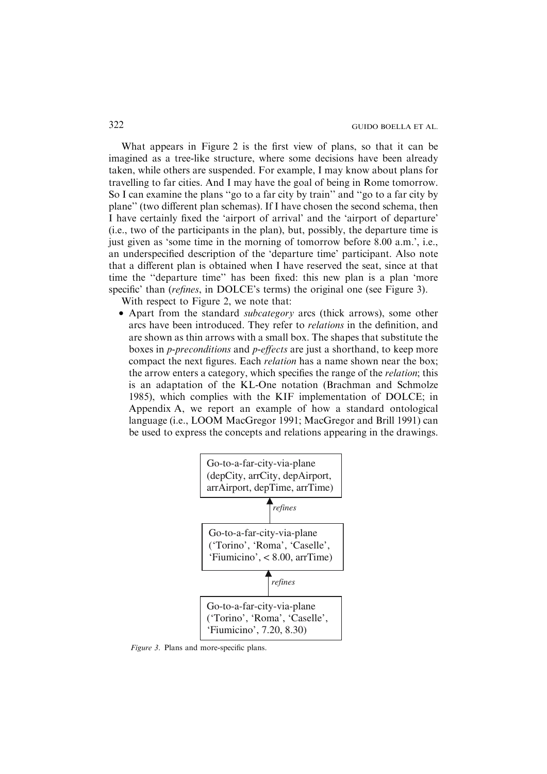What appears in Figure 2 is the first view of plans, so that it can be imagined as a tree-like structure, where some decisions have been already taken, while others are suspended. For example, I may know about plans for travelling to far cities. And I may have the goal of being in Rome tomorrow. So I can examine the plans ''go to a far city by train'' and ''go to a far city by plane'' (two different plan schemas). If I have chosen the second schema, then I have certainly fixed the 'airport of arrival' and the 'airport of departure' (i.e., two of the participants in the plan), but, possibly, the departure time is just given as 'some time in the morning of tomorrow before 8.00 a.m.', i.e., an underspecified description of the 'departure time' participant. Also note that a different plan is obtained when I have reserved the seat, since at that time the "departure time" has been fixed: this new plan is a plan 'more specific' than (*refines*, in DOLCE's terms) the original one (see Figure 3).

With respect to Figure 2, we note that:

• Apart from the standard *subcategory* arcs (thick arrows), some other arcs have been introduced. They refer to relations in the definition, and are shown as thin arrows with a small box. The shapes that substitute the boxes in p-preconditions and p-effects are just a shorthand, to keep more compact the next figures. Each relation has a name shown near the box; the arrow enters a category, which specifies the range of the relation; this is an adaptation of the KL-One notation (Brachman and Schmolze 1985), which complies with the KIF implementation of DOLCE; in Appendix A, we report an example of how a standard ontological language (i.e., LOOM MacGregor 1991; MacGregor and Brill 1991) can be used to express the concepts and relations appearing in the drawings.



Figure 3. Plans and more-specific plans.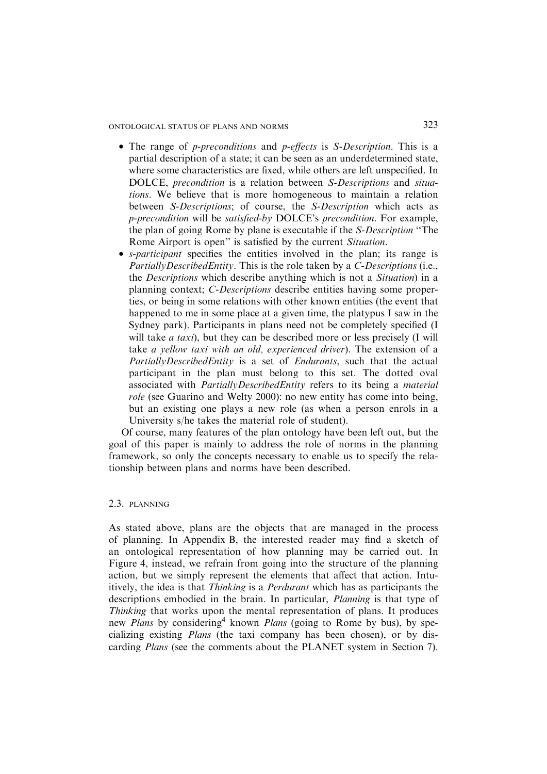ONTOLOGICAL STATUS OF PLANS AND NORMS 323

- The range of *p-preconditions* and *p-effects* is *S-Description*. This is a partial description of a state; it can be seen as an underdetermined state, where some characteristics are fixed, while others are left unspecified. In DOLCE, *precondition* is a relation between *S-Descriptions* and *situa*tions. We believe that is more homogeneous to maintain a relation between S-Descriptions; of course, the S-Description which acts as p-precondition will be satisfied-by DOLCE's precondition. For example, the plan of going Rome by plane is executable if the S-Description ''The Rome Airport is open'' is satisfied by the current Situation.
- *s-participant* specifies the entities involved in the plan; its range is PartiallyDescribedEntity. This is the role taken by a C-Descriptions (i.e., the Descriptions which describe anything which is not a Situation) in a planning context; C-Descriptions describe entities having some properties, or being in some relations with other known entities (the event that happened to me in some place at a given time, the platypus I saw in the Sydney park). Participants in plans need not be completely specified (I will take *a taxi*), but they can be described more or less precisely (I will take a yellow taxi with an old, experienced driver). The extension of a PartiallyDescribedEntity is a set of Endurants, such that the actual participant in the plan must belong to this set. The dotted oval associated with PartiallyDescribedEntity refers to its being a material role (see Guarino and Welty 2000): no new entity has come into being, but an existing one plays a new role (as when a person enrols in a University s/he takes the material role of student).

Of course, many features of the plan ontology have been left out, but the goal of this paper is mainly to address the role of norms in the planning framework, so only the concepts necessary to enable us to specify the relationship between plans and norms have been described.

## 2.3. PLANNING

As stated above, plans are the objects that are managed in the process of planning. In Appendix B, the interested reader may find a sketch of an ontological representation of how planning may be carried out. In Figure 4, instead, we refrain from going into the structure of the planning action, but we simply represent the elements that affect that action. Intuitively, the idea is that *Thinking* is a *Perdurant* which has as participants the descriptions embodied in the brain. In particular, Planning is that type of Thinking that works upon the mental representation of plans. It produces new Plans by considering<sup>4</sup> known Plans (going to Rome by bus), by specializing existing Plans (the taxi company has been chosen), or by discarding Plans (see the comments about the PLANET system in Section 7).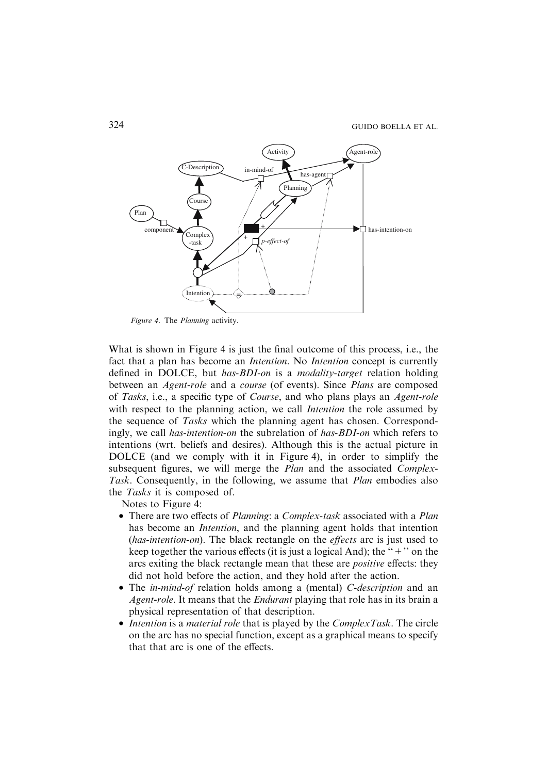

Figure 4. The Planning activity.

What is shown in Figure 4 is just the final outcome of this process, i.e., the fact that a plan has become an Intention. No Intention concept is currently defined in DOLCE, but has-BDI-on is a modality-target relation holding between an Agent-role and a course (of events). Since Plans are composed of Tasks, i.e., a specific type of Course, and who plans plays an Agent-role with respect to the planning action, we call *Intention* the role assumed by the sequence of Tasks which the planning agent has chosen. Correspondingly, we call *has-intention-on* the subrelation of *has-BDI-on* which refers to intentions (wrt. beliefs and desires). Although this is the actual picture in DOLCE (and we comply with it in Figure 4), in order to simplify the subsequent figures, we will merge the *Plan* and the associated *Complex*-Task. Consequently, in the following, we assume that *Plan* embodies also the Tasks it is composed of.

Notes to Figure 4:

- There are two effects of *Planning*: a *Complex-task* associated with a *Plan* has become an Intention, and the planning agent holds that intention (has-intention-on). The black rectangle on the *effects* arc is just used to keep together the various effects (it is just a logical And); the " $+$ " on the arcs exiting the black rectangle mean that these are positive effects: they did not hold before the action, and they hold after the action.
- The *in-mind-of* relation holds among a (mental) *C-description* and an Agent-role. It means that the *Endurant* playing that role has in its brain a physical representation of that description.
- Intention is a material role that is played by the  $ComplexTask$ . The circle on the arc has no special function, except as a graphical means to specify that that arc is one of the effects.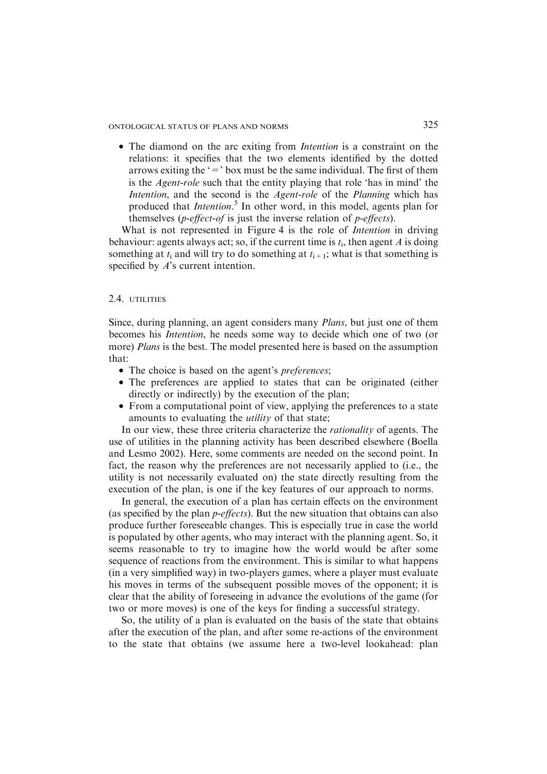• The diamond on the arc exiting from *Intention* is a constraint on the relations: it specifies that the two elements identified by the dotted arrows exiting the  $\prime$  =  $\prime$  box must be the same individual. The first of them is the Agent-role such that the entity playing that role 'has in mind' the Intention, and the second is the Agent-role of the Planning which has produced that *Intention*.<sup>5</sup> In other word, in this model, agents plan for themselves (p-effect-of is just the inverse relation of p-effects).

What is not represented in Figure 4 is the role of *Intention* in driving behaviour: agents always act; so, if the current time is  $t_i$ , then agent A is doing something at  $t_i$  and will try to do something at  $t_{i+1}$ ; what is that something is specified by A's current intention.

## 2.4. UTILITIES

Since, during planning, an agent considers many Plans, but just one of them becomes his Intention, he needs some way to decide which one of two (or more) Plans is the best. The model presented here is based on the assumption that:

- The choice is based on the agent's *preferences*;
- The preferences are applied to states that can be originated (either directly or indirectly) by the execution of the plan;
- From a computational point of view, applying the preferences to a state amounts to evaluating the *utility* of that state:

In our view, these three criteria characterize the rationality of agents. The use of utilities in the planning activity has been described elsewhere (Boella and Lesmo 2002). Here, some comments are needed on the second point. In fact, the reason why the preferences are not necessarily applied to (i.e., the utility is not necessarily evaluated on) the state directly resulting from the execution of the plan, is one if the key features of our approach to norms.

In general, the execution of a plan has certain effects on the environment (as specified by the plan  $p$ -effects). But the new situation that obtains can also produce further foreseeable changes. This is especially true in case the world is populated by other agents, who may interact with the planning agent. So, it seems reasonable to try to imagine how the world would be after some sequence of reactions from the environment. This is similar to what happens (in a very simplified way) in two-players games, where a player must evaluate his moves in terms of the subsequent possible moves of the opponent; it is clear that the ability of foreseeing in advance the evolutions of the game (for two or more moves) is one of the keys for finding a successful strategy.

So, the utility of a plan is evaluated on the basis of the state that obtains after the execution of the plan, and after some re-actions of the environment to the state that obtains (we assume here a two-level lookahead: plan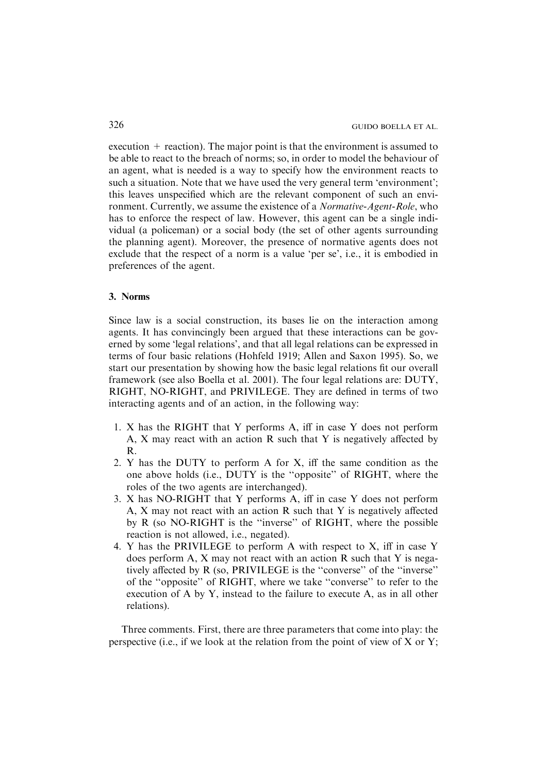execution  $+$  reaction). The major point is that the environment is assumed to be able to react to the breach of norms; so, in order to model the behaviour of an agent, what is needed is a way to specify how the environment reacts to such a situation. Note that we have used the very general term 'environment'; this leaves unspecified which are the relevant component of such an environment. Currently, we assume the existence of a Normative-Agent-Role, who has to enforce the respect of law. However, this agent can be a single individual (a policeman) or a social body (the set of other agents surrounding the planning agent). Moreover, the presence of normative agents does not exclude that the respect of a norm is a value 'per se', i.e., it is embodied in preferences of the agent.

## 3. Norms

Since law is a social construction, its bases lie on the interaction among agents. It has convincingly been argued that these interactions can be governed by some 'legal relations', and that all legal relations can be expressed in terms of four basic relations (Hohfeld 1919; Allen and Saxon 1995). So, we start our presentation by showing how the basic legal relations fit our overall framework (see also Boella et al. 2001). The four legal relations are: DUTY, RIGHT, NO-RIGHT, and PRIVILEGE. They are defined in terms of two interacting agents and of an action, in the following way:

- 1. X has the RIGHT that Y performs A, iff in case Y does not perform A, X may react with an action R such that Y is negatively affected by R.
- 2. Y has the DUTY to perform A for X, iff the same condition as the one above holds (i.e., DUTY is the ''opposite'' of RIGHT, where the roles of the two agents are interchanged).
- 3. X has NO-RIGHT that Y performs A, iff in case Y does not perform A, X may not react with an action R such that Y is negatively affected by R (so NO-RIGHT is the ''inverse'' of RIGHT, where the possible reaction is not allowed, i.e., negated).
- 4. Y has the PRIVILEGE to perform A with respect to X, iff in case Y does perform A, X may not react with an action R such that Y is negatively affected by R (so, PRIVILEGE is the ''converse'' of the ''inverse'' of the ''opposite'' of RIGHT, where we take ''converse'' to refer to the execution of A by Y, instead to the failure to execute A, as in all other relations).

Three comments. First, there are three parameters that come into play: the perspective (i.e., if we look at the relation from the point of view of X or Y;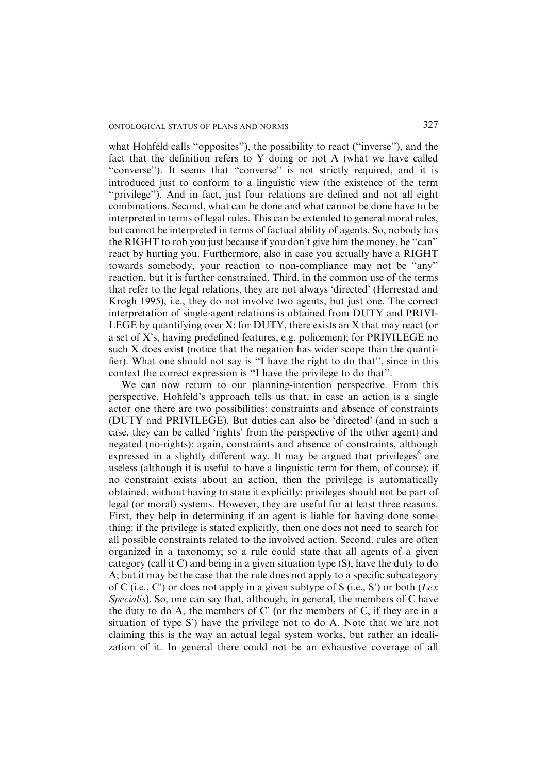what Hohfeld calls "opposites"), the possibility to react ("inverse"), and the fact that the definition refers to Y doing or not A (what we have called "converse"). It seems that "converse" is not strictly required, and it is introduced just to conform to a linguistic view (the existence of the term "privilege"). And in fact, just four relations are defined and not all eight combinations. Second, what can be done and what cannot be done have to be interpreted in terms of legal rules. This can be extended to general moral rules, but cannot be interpreted in terms of factual ability of agents. So, nobody has the RIGHT to rob you just because if you don't give him the money, he ''can'' react by hurting you. Furthermore, also in case you actually have a RIGHT towards somebody, your reaction to non-compliance may not be ''any'' reaction, but it is further constrained. Third, in the common use of the terms that refer to the legal relations, they are not always 'directed' (Herrestad and Krogh 1995), i.e., they do not involve two agents, but just one. The correct interpretation of single-agent relations is obtained from DUTY and PRIVI-LEGE by quantifying over X: for DUTY, there exists an X that may react (or a set of X's, having predefined features, e.g. policemen); for PRIVILEGE no such X does exist (notice that the negation has wider scope than the quantifier). What one should not say is ''I have the right to do that'', since in this context the correct expression is ''I have the privilege to do that''.

We can now return to our planning-intention perspective. From this perspective, Hohfeld's approach tells us that, in case an action is a single actor one there are two possibilities: constraints and absence of constraints (DUTY and PRIVILEGE). But duties can also be 'directed' (and in such a case, they can be called 'rights' from the perspective of the other agent) and negated (no-rights): again, constraints and absence of constraints, although expressed in a slightly different way. It may be argued that privileges<sup>6</sup> are useless (although it is useful to have a linguistic term for them, of course): if no constraint exists about an action, then the privilege is automatically obtained, without having to state it explicitly: privileges should not be part of legal (or moral) systems. However, they are useful for at least three reasons. First, they help in determining if an agent is liable for having done something: if the privilege is stated explicitly, then one does not need to search for all possible constraints related to the involved action. Second, rules are often organized in a taxonomy; so a rule could state that all agents of a given category (call it C) and being in a given situation type (S), have the duty to do A; but it may be the case that the rule does not apply to a specific subcategory of C (i.e., C') or does not apply in a given subtype of S (i.e., S') or both (Lex Specialis). So, one can say that, although, in general, the members of C have the duty to do A, the members of  $C'$  (or the members of  $C$ , if they are in a situation of type S') have the privilege not to do A. Note that we are not claiming this is the way an actual legal system works, but rather an idealization of it. In general there could not be an exhaustive coverage of all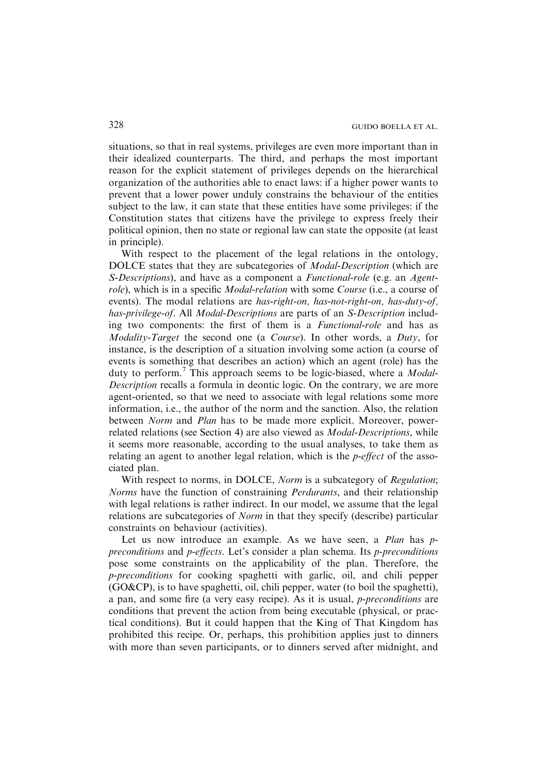situations, so that in real systems, privileges are even more important than in their idealized counterparts. The third, and perhaps the most important reason for the explicit statement of privileges depends on the hierarchical organization of the authorities able to enact laws: if a higher power wants to prevent that a lower power unduly constrains the behaviour of the entities subject to the law, it can state that these entities have some privileges: if the Constitution states that citizens have the privilege to express freely their political opinion, then no state or regional law can state the opposite (at least in principle).

With respect to the placement of the legal relations in the ontology, DOLCE states that they are subcategories of Modal-Description (which are S-Descriptions), and have as a component a *Functional-role* (e.g. an *Agent*role), which is in a specific Modal-relation with some Course (i.e., a course of events). The modal relations are *has-right-on, has-not-right-on, has-duty-of*, has-privilege-of. All *Modal-Descriptions* are parts of an *S-Description* including two components: the first of them is a Functional-role and has as Modality-Target the second one (a Course). In other words, a Duty, for instance, is the description of a situation involving some action (a course of events is something that describes an action) which an agent (role) has the duty to perform.<sup>7</sup> This approach seems to be logic-biased, where a *Modal*-Description recalls a formula in deontic logic. On the contrary, we are more agent-oriented, so that we need to associate with legal relations some more information, i.e., the author of the norm and the sanction. Also, the relation between *Norm* and *Plan* has to be made more explicit. Moreover, powerrelated relations (see Section 4) are also viewed as Modal-Descriptions, while it seems more reasonable, according to the usual analyses, to take them as relating an agent to another legal relation, which is the p-effect of the associated plan.

With respect to norms, in DOLCE, Norm is a subcategory of Regulation; Norms have the function of constraining Perdurants, and their relationship with legal relations is rather indirect. In our model, we assume that the legal relations are subcategories of Norm in that they specify (describe) particular constraints on behaviour (activities).

Let us now introduce an example. As we have seen, a Plan has  $p$ preconditions and p-effects. Let's consider a plan schema. Its p-preconditions pose some constraints on the applicability of the plan. Therefore, the p-preconditions for cooking spaghetti with garlic, oil, and chili pepper (GO&CP), is to have spaghetti, oil, chili pepper, water (to boil the spaghetti), a pan, and some fire (a very easy recipe). As it is usual, p-preconditions are conditions that prevent the action from being executable (physical, or practical conditions). But it could happen that the King of That Kingdom has prohibited this recipe. Or, perhaps, this prohibition applies just to dinners with more than seven participants, or to dinners served after midnight, and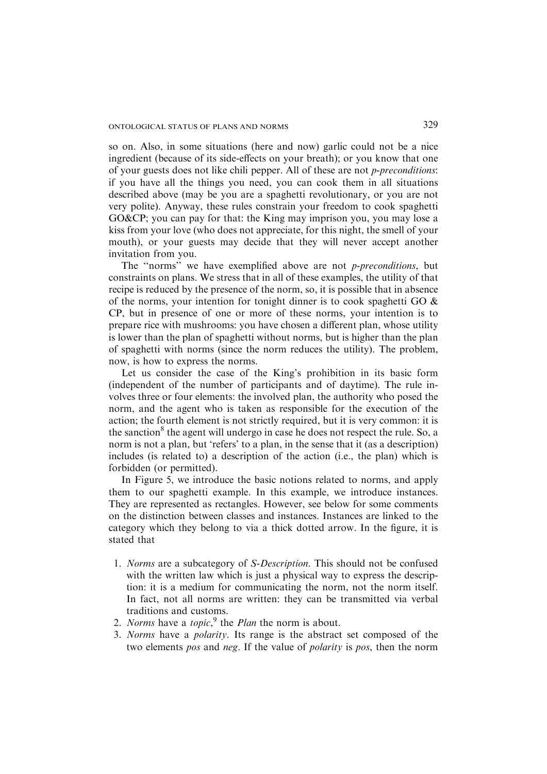so on. Also, in some situations (here and now) garlic could not be a nice ingredient (because of its side-effects on your breath); or you know that one of your guests does not like chili pepper. All of these are not p-preconditions: if you have all the things you need, you can cook them in all situations described above (may be you are a spaghetti revolutionary, or you are not very polite). Anyway, these rules constrain your freedom to cook spaghetti GO&CP; you can pay for that: the King may imprison you, you may lose a kiss from your love (who does not appreciate, for this night, the smell of your mouth), or your guests may decide that they will never accept another invitation from you.

The "norms" we have exemplified above are not *p-preconditions*, but constraints on plans. We stress that in all of these examples, the utility of that recipe is reduced by the presence of the norm, so, it is possible that in absence of the norms, your intention for tonight dinner is to cook spaghetti GO  $\&$ CP, but in presence of one or more of these norms, your intention is to prepare rice with mushrooms: you have chosen a different plan, whose utility is lower than the plan of spaghetti without norms, but is higher than the plan of spaghetti with norms (since the norm reduces the utility). The problem, now, is how to express the norms.

Let us consider the case of the King's prohibition in its basic form (independent of the number of participants and of daytime). The rule involves three or four elements: the involved plan, the authority who posed the norm, and the agent who is taken as responsible for the execution of the action; the fourth element is not strictly required, but it is very common: it is the sanction<sup>8</sup> the agent will undergo in case he does not respect the rule. So, a norm is not a plan, but 'refers' to a plan, in the sense that it (as a description) includes (is related to) a description of the action (i.e., the plan) which is forbidden (or permitted).

In Figure 5, we introduce the basic notions related to norms, and apply them to our spaghetti example. In this example, we introduce instances. They are represented as rectangles. However, see below for some comments on the distinction between classes and instances. Instances are linked to the category which they belong to via a thick dotted arrow. In the figure, it is stated that

- 1. Norms are a subcategory of S-Description. This should not be confused with the written law which is just a physical way to express the description: it is a medium for communicating the norm, not the norm itself. In fact, not all norms are written: they can be transmitted via verbal traditions and customs.
- 2. *Norms* have a *topic*,<sup>9</sup> the *Plan* the norm is about.
- 3. Norms have a polarity. Its range is the abstract set composed of the two elements pos and neg. If the value of polarity is pos, then the norm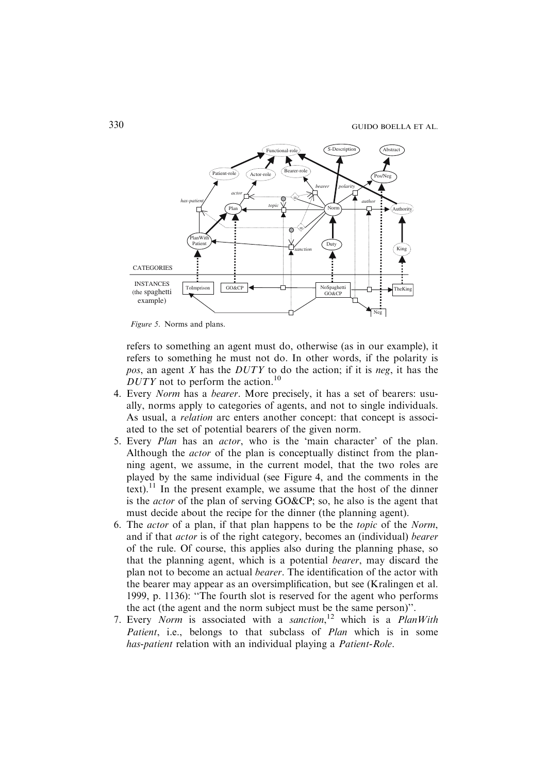

Figure 5. Norms and plans.

refers to something an agent must do, otherwise (as in our example), it refers to something he must not do. In other words, if the polarity is pos, an agent X has the  $DUTY$  to do the action; if it is neg, it has the  $DUTY$  not to perform the action.<sup>10</sup>

- 4. Every Norm has a bearer. More precisely, it has a set of bearers: usually, norms apply to categories of agents, and not to single individuals. As usual, a relation arc enters another concept: that concept is associated to the set of potential bearers of the given norm.
- 5. Every Plan has an actor, who is the 'main character' of the plan. Although the actor of the plan is conceptually distinct from the planning agent, we assume, in the current model, that the two roles are played by the same individual (see Figure 4, and the comments in the text).<sup>11</sup> In the present example, we assume that the host of the dinner is the actor of the plan of serving GO&CP; so, he also is the agent that must decide about the recipe for the dinner (the planning agent).
- 6. The actor of a plan, if that plan happens to be the topic of the Norm, and if that actor is of the right category, becomes an (individual) bearer of the rule. Of course, this applies also during the planning phase, so that the planning agent, which is a potential bearer, may discard the plan not to become an actual bearer. The identification of the actor with the bearer may appear as an oversimplification, but see (Kralingen et al. 1999, p. 1136): ''The fourth slot is reserved for the agent who performs the act (the agent and the norm subject must be the same person)''.
- 7. Every Norm is associated with a sanction,<sup>12</sup> which is a PlanWith Patient, i.e., belongs to that subclass of Plan which is in some has-patient relation with an individual playing a Patient-Role.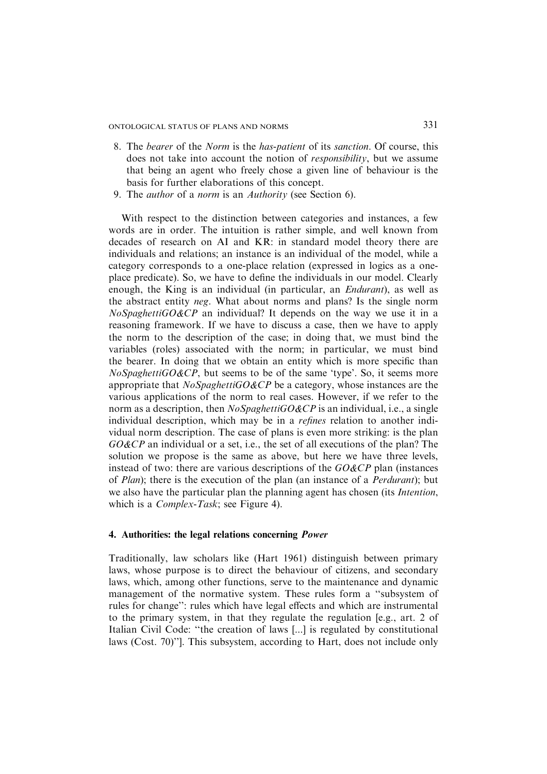ONTOLOGICAL STATUS OF PLANS AND NORMS 331

- 8. The bearer of the Norm is the has-patient of its sanction. Of course, this does not take into account the notion of responsibility, but we assume that being an agent who freely chose a given line of behaviour is the basis for further elaborations of this concept.
- 9. The author of a norm is an Authority (see Section 6).

With respect to the distinction between categories and instances, a few words are in order. The intuition is rather simple, and well known from decades of research on AI and KR: in standard model theory there are individuals and relations; an instance is an individual of the model, while a category corresponds to a one-place relation (expressed in logics as a oneplace predicate). So, we have to define the individuals in our model. Clearly enough, the King is an individual (in particular, an *Endurant*), as well as the abstract entity neg. What about norms and plans? Is the single norm NoSpaghettiGO&CP an individual? It depends on the way we use it in a reasoning framework. If we have to discuss a case, then we have to apply the norm to the description of the case; in doing that, we must bind the variables (roles) associated with the norm; in particular, we must bind the bearer. In doing that we obtain an entity which is more specific than  $No Spaghetti GO\& CP$ , but seems to be of the same 'type'. So, it seems more appropriate that  $NoSpaghettiGO\& CP$  be a category, whose instances are the various applications of the norm to real cases. However, if we refer to the norm as a description, then  $NoSpaghettiGO\& CP$  is an individual, i.e., a single individual description, which may be in a *refines* relation to another individual norm description. The case of plans is even more striking: is the plan GO&CP an individual or a set, i.e., the set of all executions of the plan? The solution we propose is the same as above, but here we have three levels, instead of two: there are various descriptions of the  $GO\&CP$  plan (instances of Plan); there is the execution of the plan (an instance of a Perdurant); but we also have the particular plan the planning agent has chosen (its Intention, which is a *Complex-Task*; see Figure 4).

## 4. Authorities: the legal relations concerning Power

Traditionally, law scholars like (Hart 1961) distinguish between primary laws, whose purpose is to direct the behaviour of citizens, and secondary laws, which, among other functions, serve to the maintenance and dynamic management of the normative system. These rules form a ''subsystem of rules for change'': rules which have legal effects and which are instrumental to the primary system, in that they regulate the regulation [e.g., art. 2 of Italian Civil Code: ''the creation of laws [...] is regulated by constitutional laws (Cost. 70)'']. This subsystem, according to Hart, does not include only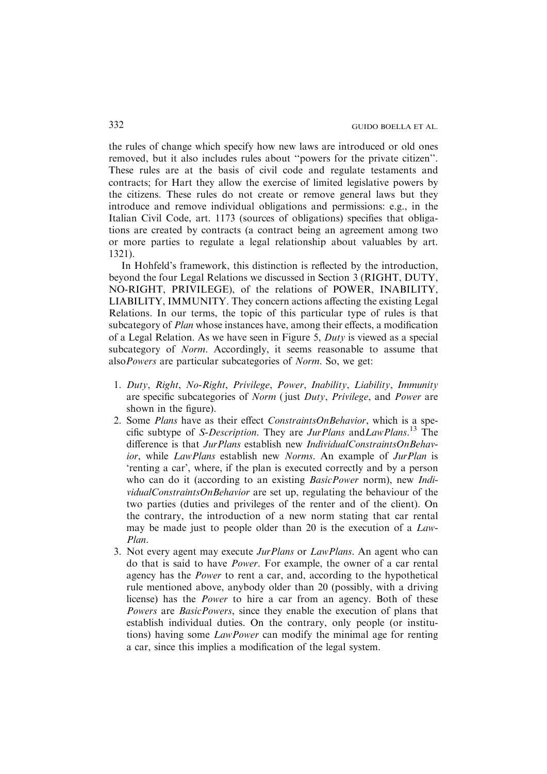the rules of change which specify how new laws are introduced or old ones removed, but it also includes rules about ''powers for the private citizen''. These rules are at the basis of civil code and regulate testaments and contracts; for Hart they allow the exercise of limited legislative powers by the citizens. These rules do not create or remove general laws but they introduce and remove individual obligations and permissions: e.g., in the Italian Civil Code, art. 1173 (sources of obligations) specifies that obligations are created by contracts (a contract being an agreement among two or more parties to regulate a legal relationship about valuables by art. 1321).

In Hohfeld's framework, this distinction is reflected by the introduction, beyond the four Legal Relations we discussed in Section 3 (RIGHT, DUTY, NO-RIGHT, PRIVILEGE), of the relations of POWER, INABILITY, LIABILITY, IMMUNITY. They concern actions affecting the existing Legal Relations. In our terms, the topic of this particular type of rules is that subcategory of Plan whose instances have, among their effects, a modification of a Legal Relation. As we have seen in Figure 5,  $Duty$  is viewed as a special subcategory of Norm. Accordingly, it seems reasonable to assume that alsoPowers are particular subcategories of Norm. So, we get:

- 1. Duty, Right, No-Right, Privilege, Power, Inability, Liability, Immunity are specific subcategories of Norm ( just Duty, Privilege, and Power are shown in the figure).
- 2. Some Plans have as their effect ConstraintsOnBehavior, which is a specific subtype of *S-Description*. They are JurPlans and LawPlans.<sup>13</sup> The difference is that JurPlans establish new IndividualConstraintsOnBehavior, while LawPlans establish new Norms. An example of JurPlan is 'renting a car', where, if the plan is executed correctly and by a person who can do it (according to an existing *BasicPower* norm), new *Indi*vidualConstraintsOnBehavior are set up, regulating the behaviour of the two parties (duties and privileges of the renter and of the client). On the contrary, the introduction of a new norm stating that car rental may be made just to people older than 20 is the execution of a Law-Plan.
- 3. Not every agent may execute JurPlans or LawPlans. An agent who can do that is said to have Power. For example, the owner of a car rental agency has the Power to rent a car, and, according to the hypothetical rule mentioned above, anybody older than 20 (possibly, with a driving license) has the Power to hire a car from an agency. Both of these Powers are BasicPowers, since they enable the execution of plans that establish individual duties. On the contrary, only people (or institutions) having some LawPower can modify the minimal age for renting a car, since this implies a modification of the legal system.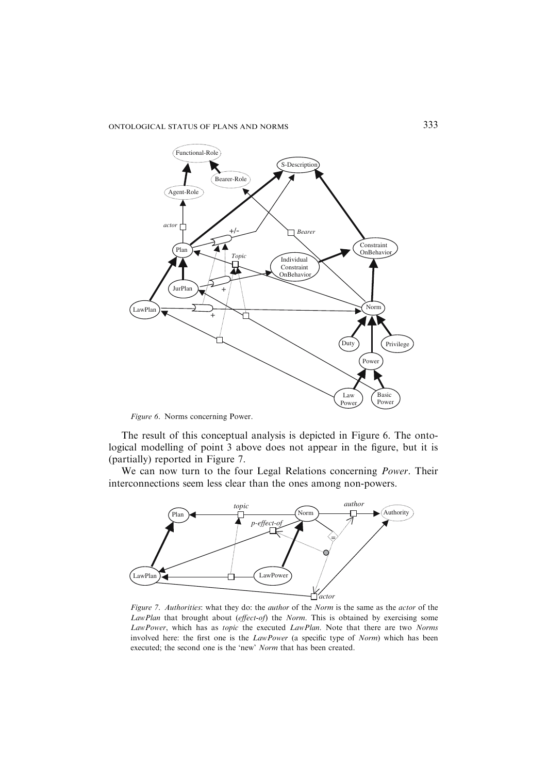

Figure 6. Norms concerning Power.

The result of this conceptual analysis is depicted in Figure 6. The ontological modelling of point 3 above does not appear in the figure, but it is (partially) reported in Figure 7.

We can now turn to the four Legal Relations concerning Power. Their interconnections seem less clear than the ones among non-powers.



Figure 7. Authorities: what they do: the author of the Norm is the same as the actor of the LawPlan that brought about (effect-of) the Norm. This is obtained by exercising some LawPower, which has as topic the executed LawPlan. Note that there are two Norms involved here: the first one is the LawPower (a specific type of Norm) which has been executed; the second one is the 'new' Norm that has been created.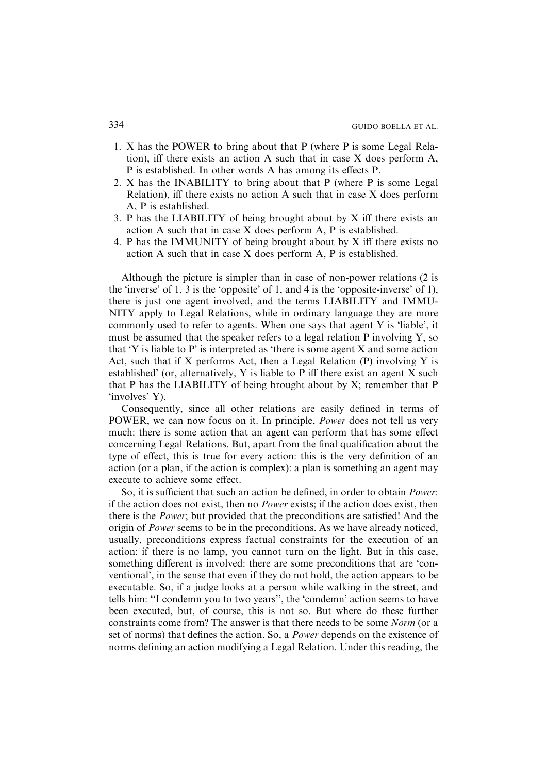- 1. X has the POWER to bring about that P (where P is some Legal Relation), iff there exists an action A such that in case X does perform A, P is established. In other words A has among its effects P.
- 2. X has the INABILITY to bring about that P (where P is some Legal Relation), iff there exists no action A such that in case X does perform A, P is established.
- 3. P has the LIABILITY of being brought about by X iff there exists an action A such that in case X does perform A, P is established.
- 4. P has the IMMUNITY of being brought about by X iff there exists no action A such that in case X does perform A, P is established.

Although the picture is simpler than in case of non-power relations (2 is the 'inverse' of 1, 3 is the 'opposite' of 1, and 4 is the 'opposite-inverse' of 1), there is just one agent involved, and the terms LIABILITY and IMMU-NITY apply to Legal Relations, while in ordinary language they are more commonly used to refer to agents. When one says that agent Y is 'liable', it must be assumed that the speaker refers to a legal relation P involving Y, so that 'Y is liable to P' is interpreted as 'there is some agent X and some action Act, such that if  $X$  performs Act, then a Legal Relation (P) involving  $Y$  is established' (or, alternatively, Y is liable to P iff there exist an agent X such that P has the LIABILITY of being brought about by X; remember that P 'involves' Y).

Consequently, since all other relations are easily defined in terms of POWER, we can now focus on it. In principle, Power does not tell us very much: there is some action that an agent can perform that has some effect concerning Legal Relations. But, apart from the final qualification about the type of effect, this is true for every action: this is the very definition of an action (or a plan, if the action is complex): a plan is something an agent may execute to achieve some effect.

So, it is sufficient that such an action be defined, in order to obtain Power: if the action does not exist, then no Power exists; if the action does exist, then there is the Power; but provided that the preconditions are satisfied! And the origin of Power seems to be in the preconditions. As we have already noticed, usually, preconditions express factual constraints for the execution of an action: if there is no lamp, you cannot turn on the light. But in this case, something different is involved: there are some preconditions that are 'conventional', in the sense that even if they do not hold, the action appears to be executable. So, if a judge looks at a person while walking in the street, and tells him: ''I condemn you to two years'', the 'condemn' action seems to have been executed, but, of course, this is not so. But where do these further constraints come from? The answer is that there needs to be some Norm (or a set of norms) that defines the action. So, a Power depends on the existence of norms defining an action modifying a Legal Relation. Under this reading, the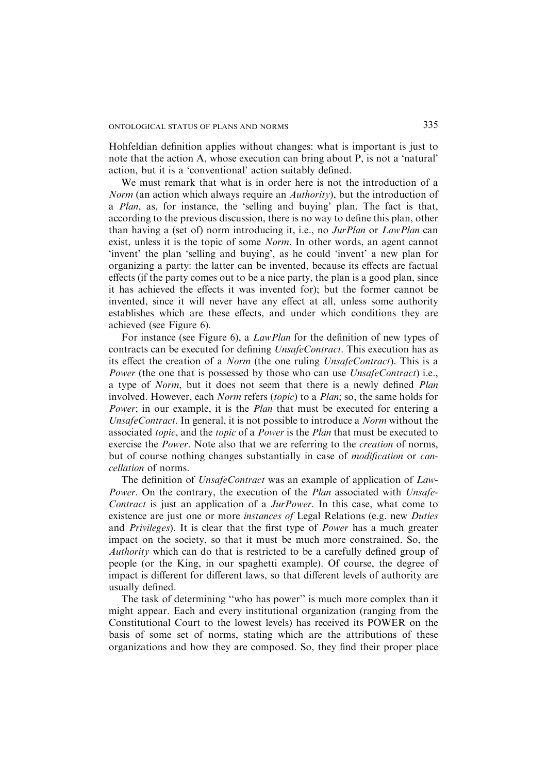Hohfeldian definition applies without changes: what is important is just to note that the action A, whose execution can bring about P, is not a 'natural' action, but it is a 'conventional' action suitably defined.

We must remark that what is in order here is not the introduction of a Norm (an action which always require an Authority), but the introduction of a Plan, as, for instance, the 'selling and buying' plan. The fact is that, according to the previous discussion, there is no way to define this plan, other than having a (set of) norm introducing it, i.e., no JurPlan or LawPlan can exist, unless it is the topic of some *Norm*. In other words, an agent cannot 'invent' the plan 'selling and buying', as he could 'invent' a new plan for organizing a party: the latter can be invented, because its effects are factual effects (if the party comes out to be a nice party, the plan is a good plan, since it has achieved the effects it was invented for); but the former cannot be invented, since it will never have any effect at all, unless some authority establishes which are these effects, and under which conditions they are achieved (see Figure 6).

For instance (see Figure 6), a *LawPlan* for the definition of new types of contracts can be executed for defining UnsafeContract. This execution has as its effect the creation of a Norm (the one ruling UnsafeContract). This is a Power (the one that is possessed by those who can use *UnsafeContract*) i.e., a type of Norm, but it does not seem that there is a newly defined Plan involved. However, each *Norm* refers *(topic)* to a *Plan*; so, the same holds for Power; in our example, it is the Plan that must be executed for entering a UnsafeContract. In general, it is not possible to introduce a Norm without the associated topic, and the topic of a Power is the Plan that must be executed to exercise the *Power*. Note also that we are referring to the *creation* of norms, but of course nothing changes substantially in case of *modification* or *can*cellation of norms.

The definition of UnsafeContract was an example of application of Law-Power. On the contrary, the execution of the Plan associated with Unsafe-Contract is just an application of a JurPower. In this case, what come to existence are just one or more *instances of* Legal Relations (e.g. new *Duties* and Privileges). It is clear that the first type of Power has a much greater impact on the society, so that it must be much more constrained. So, the Authority which can do that is restricted to be a carefully defined group of people (or the King, in our spaghetti example). Of course, the degree of impact is different for different laws, so that different levels of authority are usually defined.

The task of determining ''who has power'' is much more complex than it might appear. Each and every institutional organization (ranging from the Constitutional Court to the lowest levels) has received its POWER on the basis of some set of norms, stating which are the attributions of these organizations and how they are composed. So, they find their proper place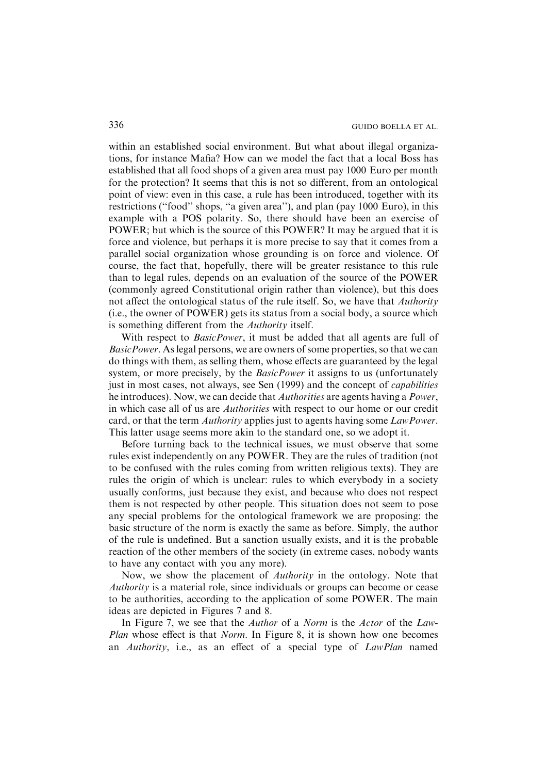within an established social environment. But what about illegal organizations, for instance Mafia? How can we model the fact that a local Boss has established that all food shops of a given area must pay 1000 Euro per month for the protection? It seems that this is not so different, from an ontological point of view: even in this case, a rule has been introduced, together with its restrictions (''food'' shops, ''a given area''), and plan (pay 1000 Euro), in this example with a POS polarity. So, there should have been an exercise of POWER; but which is the source of this POWER? It may be argued that it is force and violence, but perhaps it is more precise to say that it comes from a parallel social organization whose grounding is on force and violence. Of course, the fact that, hopefully, there will be greater resistance to this rule than to legal rules, depends on an evaluation of the source of the POWER (commonly agreed Constitutional origin rather than violence), but this does not affect the ontological status of the rule itself. So, we have that Authority (i.e., the owner of POWER) gets its status from a social body, a source which is something different from the Authority itself.

With respect to *BasicPower*, it must be added that all agents are full of BasicPower. As legal persons, we are owners of some properties, so that we can do things with them, as selling them, whose effects are guaranteed by the legal system, or more precisely, by the *BasicPower* it assigns to us (unfortunately just in most cases, not always, see Sen (1999) and the concept of *capabilities* he introduces). Now, we can decide that Authorities are agents having a Power, in which case all of us are Authorities with respect to our home or our credit card, or that the term *Authority* applies just to agents having some *LawPower*. This latter usage seems more akin to the standard one, so we adopt it.

Before turning back to the technical issues, we must observe that some rules exist independently on any POWER. They are the rules of tradition (not to be confused with the rules coming from written religious texts). They are rules the origin of which is unclear: rules to which everybody in a society usually conforms, just because they exist, and because who does not respect them is not respected by other people. This situation does not seem to pose any special problems for the ontological framework we are proposing: the basic structure of the norm is exactly the same as before. Simply, the author of the rule is undefined. But a sanction usually exists, and it is the probable reaction of the other members of the society (in extreme cases, nobody wants to have any contact with you any more).

Now, we show the placement of Authority in the ontology. Note that Authority is a material role, since individuals or groups can become or cease to be authorities, according to the application of some POWER. The main ideas are depicted in Figures 7 and 8.

In Figure 7, we see that the Author of a Norm is the Actor of the Law-Plan whose effect is that *Norm*. In Figure 8, it is shown how one becomes an Authority, i.e., as an effect of a special type of LawPlan named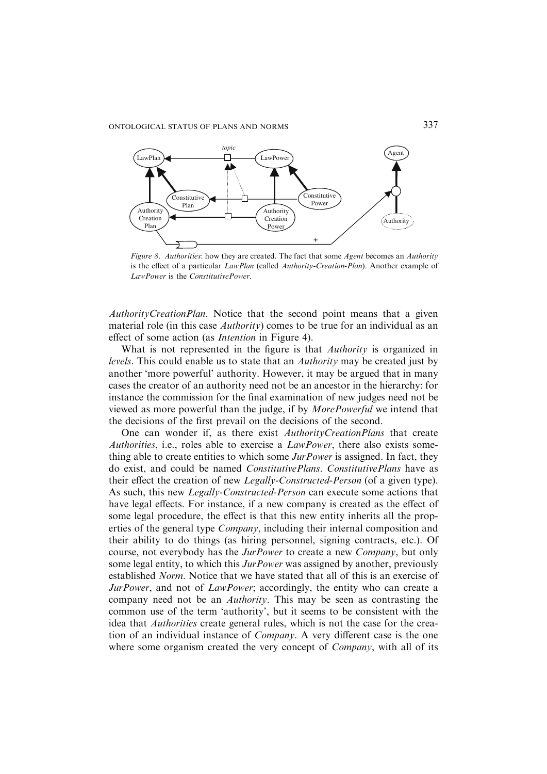

Figure 8. Authorities: how they are created. The fact that some Agent becomes an Authority is the effect of a particular LawPlan (called Authority-Creation-Plan). Another example of LawPower is the ConstitutivePower.

AuthorityCreationPlan. Notice that the second point means that a given material role (in this case Authority) comes to be true for an individual as an effect of some action (as Intention in Figure 4).

What is not represented in the figure is that *Authority* is organized in levels. This could enable us to state that an Authority may be created just by another 'more powerful' authority. However, it may be argued that in many cases the creator of an authority need not be an ancestor in the hierarchy: for instance the commission for the final examination of new judges need not be viewed as more powerful than the judge, if by MorePowerful we intend that the decisions of the first prevail on the decisions of the second.

One can wonder if, as there exist *AuthorityCreationPlans* that create Authorities, i.e., roles able to exercise a LawPower, there also exists something able to create entities to which some *JurPower* is assigned. In fact, they do exist, and could be named ConstitutivePlans. ConstitutivePlans have as their effect the creation of new Legally-Constructed-Person (of a given type). As such, this new *Legally-Constructed-Person* can execute some actions that have legal effects. For instance, if a new company is created as the effect of some legal procedure, the effect is that this new entity inherits all the properties of the general type Company, including their internal composition and their ability to do things (as hiring personnel, signing contracts, etc.). Of course, not everybody has the JurPower to create a new Company, but only some legal entity, to which this *JurPower* was assigned by another, previously established Norm. Notice that we have stated that all of this is an exercise of JurPower, and not of LawPower; accordingly, the entity who can create a company need not be an *Authority*. This may be seen as contrasting the common use of the term 'authority', but it seems to be consistent with the idea that *Authorities* create general rules, which is not the case for the creation of an individual instance of Company. A very different case is the one where some organism created the very concept of *Company*, with all of its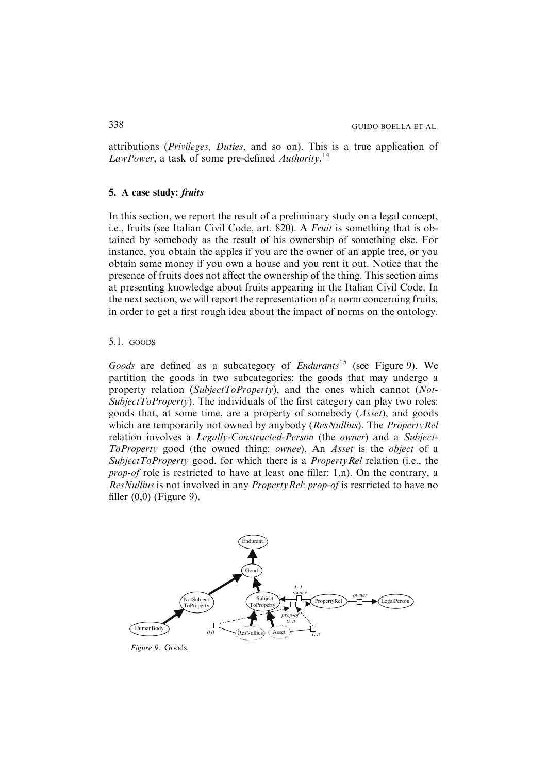attributions (Privileges, Duties, and so on). This is a true application of LawPower, a task of some pre-defined Authority.<sup>14</sup>

## 5. A case study: fruits

In this section, we report the result of a preliminary study on a legal concept, i.e., fruits (see Italian Civil Code, art. 820). A Fruit is something that is obtained by somebody as the result of his ownership of something else. For instance, you obtain the apples if you are the owner of an apple tree, or you obtain some money if you own a house and you rent it out. Notice that the presence of fruits does not affect the ownership of the thing. This section aims at presenting knowledge about fruits appearing in the Italian Civil Code. In the next section, we will report the representation of a norm concerning fruits, in order to get a first rough idea about the impact of norms on the ontology.

## 5.1. GOODS

Goods are defined as a subcategory of  $Endurants^{15}$  (see Figure 9). We partition the goods in two subcategories: the goods that may undergo a property relation (SubjectToProperty), and the ones which cannot (Not- $Subject To Property$ ). The individuals of the first category can play two roles: goods that, at some time, are a property of somebody (Asset), and goods which are temporarily not owned by anybody (ResNullius). The PropertyRel relation involves a Legally-Constructed-Person (the owner) and a Subject-ToProperty good (the owned thing: ownee). An Asset is the object of a Subject To Property good, for which there is a *PropertyRel* relation (i.e., the prop-of role is restricted to have at least one filler: 1,n). On the contrary, a ResNullius is not involved in any PropertyRel: prop-of is restricted to have no filler  $(0,0)$  (Figure 9).



Figure 9. Goods.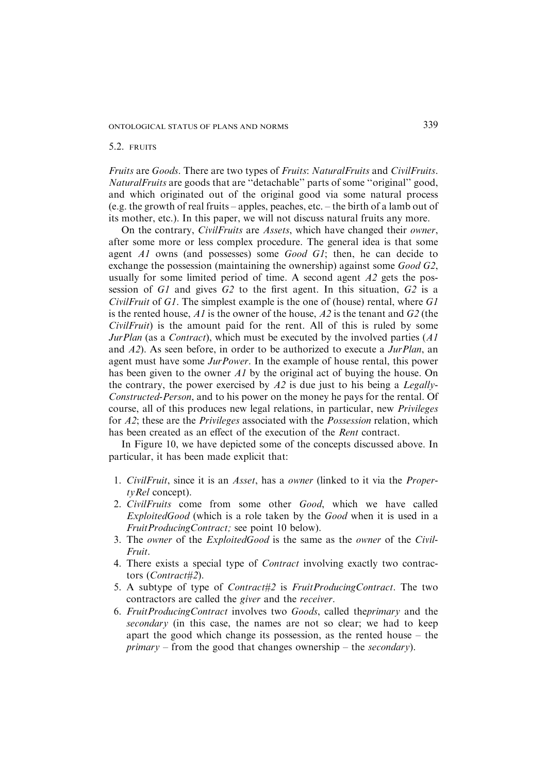## ONTOLOGICAL STATUS OF PLANS AND NORMS 339

## 5.2. FRUITS

Fruits are Goods. There are two types of Fruits: NaturalFruits and CivilFruits. NaturalFruits are goods that are ''detachable'' parts of some ''original'' good, and which originated out of the original good via some natural process (e.g. the growth of real fruits – apples, peaches, etc. – the birth of a lamb out of its mother, etc.). In this paper, we will not discuss natural fruits any more.

On the contrary, CivilFruits are Assets, which have changed their owner, after some more or less complex procedure. The general idea is that some agent A1 owns (and possesses) some Good G1; then, he can decide to exchange the possession (maintaining the ownership) against some Good G2, usually for some limited period of time. A second agent  $A2$  gets the possession of G1 and gives G2 to the first agent. In this situation, G2 is a CivilFruit of G1. The simplest example is the one of (house) rental, where  $GI$ is the rented house, A1 is the owner of the house, A2 is the tenant and  $G2$  (the CivilFruit) is the amount paid for the rent. All of this is ruled by some JurPlan (as a Contract), which must be executed by the involved parties  $(AI)$ and A2). As seen before, in order to be authorized to execute a JurPlan, an agent must have some JurPower. In the example of house rental, this power has been given to the owner A1 by the original act of buying the house. On the contrary, the power exercised by  $A2$  is due just to his being a Legally-Constructed-Person, and to his power on the money he pays for the rental. Of course, all of this produces new legal relations, in particular, new Privileges for A2; these are the Privileges associated with the Possession relation, which has been created as an effect of the execution of the Rent contract.

In Figure 10, we have depicted some of the concepts discussed above. In particular, it has been made explicit that:

- 1. CivilFruit, since it is an Asset, has a owner (linked to it via the PropertyRel concept).
- 2. CivilFruits come from some other Good, which we have called ExploitedGood (which is a role taken by the Good when it is used in a FruitProducingContract; see point 10 below).
- 3. The owner of the ExploitedGood is the same as the owner of the Civil-Fruit.
- 4. There exists a special type of Contract involving exactly two contractors (Contract#2).
- 5. A subtype of type of  $Contract \#2$  is  $FruitProducing Contract$ . The two contractors are called the giver and the receiver.
- 6. FruitProducingContract involves two Goods, called theprimary and the secondary (in this case, the names are not so clear; we had to keep apart the good which change its possession, as the rented house – the *primary* – from the good that changes ownership – the *secondary*).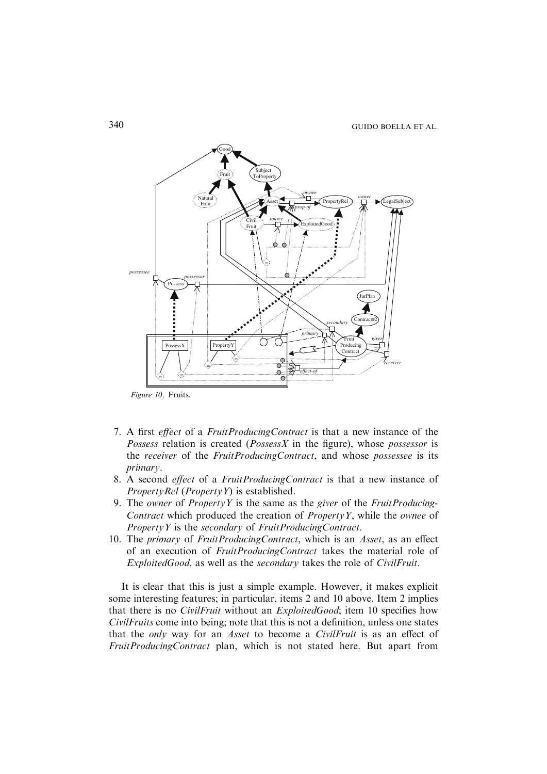

Figure 10. Fruits.

- 7. A first effect of a FruitProducingContract is that a new instance of the Possess relation is created (PossessX in the figure), whose possessor is the receiver of the FruitProducingContract, and whose possessee is its primary.
- 8. A second effect of a FruitProducingContract is that a new instance of PropertyRel ( $Property Y$ ) is established.
- 9. The owner of Property Y is the same as the giver of the FruitProducing-Contract which produced the creation of  $Property Y$ , while the ownee of Property  $Y$  is the secondary of FruitProducingContract.
- 10. The primary of FruitProducingContract, which is an Asset, as an effect of an execution of FruitProducingContract takes the material role of ExploitedGood, as well as the secondary takes the role of CivilFruit.

It is clear that this is just a simple example. However, it makes explicit some interesting features; in particular, items 2 and 10 above. Item 2 implies that there is no CivilFruit without an ExploitedGood; item 10 specifies how CivilFruits come into being; note that this is not a definition, unless one states that the only way for an Asset to become a CivilFruit is as an effect of FruitProducingContract plan, which is not stated here. But apart from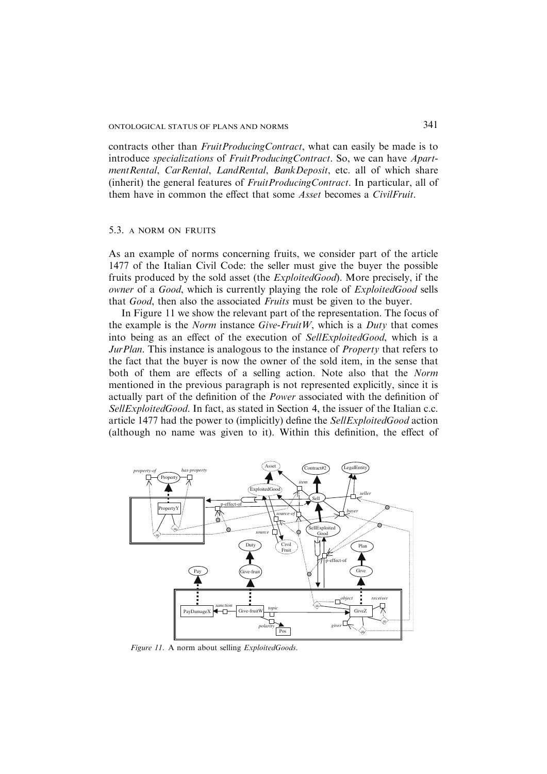contracts other than *FruitProducingContract*, what can easily be made is to introduce *specializations* of *FruitProducingContract*. So, we can have *Apart*mentRental, CarRental, LandRental, BankDeposit, etc. all of which share (inherit) the general features of FruitProducingContract. In particular, all of them have in common the effect that some Asset becomes a CivilFruit.

## 5.3. <sup>A</sup> NORM ON FRUITS

As an example of norms concerning fruits, we consider part of the article 1477 of the Italian Civil Code: the seller must give the buyer the possible fruits produced by the sold asset (the ExploitedGood). More precisely, if the owner of a Good, which is currently playing the role of ExploitedGood sells that Good, then also the associated Fruits must be given to the buyer.

In Figure 11 we show the relevant part of the representation. The focus of the example is the *Norm* instance  $Give-FruitW$ , which is a *Duty* that comes into being as an effect of the execution of SellExploitedGood, which is a JurPlan. This instance is analogous to the instance of *Property* that refers to the fact that the buyer is now the owner of the sold item, in the sense that both of them are effects of a selling action. Note also that the Norm mentioned in the previous paragraph is not represented explicitly, since it is actually part of the definition of the Power associated with the definition of SellExploitedGood. In fact, as stated in Section 4, the issuer of the Italian c.c. article 1477 had the power to (implicitly) define the SellExploitedGood action (although no name was given to it). Within this definition, the effect of



Figure 11. A norm about selling ExploitedGoods.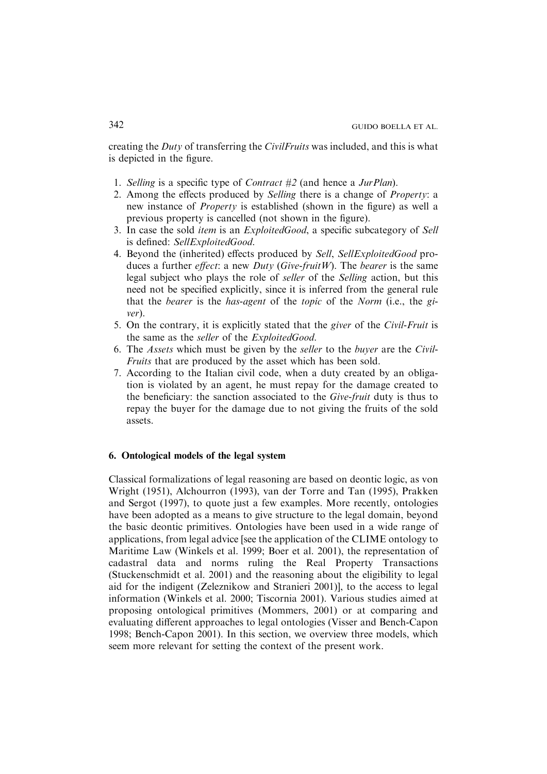creating the Duty of transferring the CivilFruits was included, and this is what is depicted in the figure.

- 1. Selling is a specific type of *Contract*  $#2$  (and hence a *JurPlan*).
- 2. Among the effects produced by Selling there is a change of Property: a new instance of Property is established (shown in the figure) as well a previous property is cancelled (not shown in the figure).
- 3. In case the sold item is an ExploitedGood, a specific subcategory of Sell is defined: SellExploitedGood.
- 4. Beyond the (inherited) effects produced by Sell, SellExploitedGood produces a further *effect*: a new *Duty* (*Give-fruitW*). The *bearer* is the same legal subject who plays the role of seller of the Selling action, but this need not be specified explicitly, since it is inferred from the general rule that the bearer is the has-agent of the topic of the Norm (i.e., the giver).
- 5. On the contrary, it is explicitly stated that the giver of the Civil-Fruit is the same as the seller of the ExploitedGood.
- 6. The Assets which must be given by the seller to the buyer are the Civil-Fruits that are produced by the asset which has been sold.
- 7. According to the Italian civil code, when a duty created by an obligation is violated by an agent, he must repay for the damage created to the beneficiary: the sanction associated to the Give-fruit duty is thus to repay the buyer for the damage due to not giving the fruits of the sold assets.

### 6. Ontological models of the legal system

Classical formalizations of legal reasoning are based on deontic logic, as von Wright (1951), Alchourron (1993), van der Torre and Tan (1995), Prakken and Sergot (1997), to quote just a few examples. More recently, ontologies have been adopted as a means to give structure to the legal domain, beyond the basic deontic primitives. Ontologies have been used in a wide range of applications, from legal advice [see the application of the CLIME ontology to Maritime Law (Winkels et al. 1999; Boer et al. 2001), the representation of cadastral data and norms ruling the Real Property Transactions (Stuckenschmidt et al. 2001) and the reasoning about the eligibility to legal aid for the indigent (Zeleznikow and Stranieri 2001)], to the access to legal information (Winkels et al. 2000; Tiscornia 2001). Various studies aimed at proposing ontological primitives (Mommers, 2001) or at comparing and evaluating different approaches to legal ontologies (Visser and Bench-Capon 1998; Bench-Capon 2001). In this section, we overview three models, which seem more relevant for setting the context of the present work.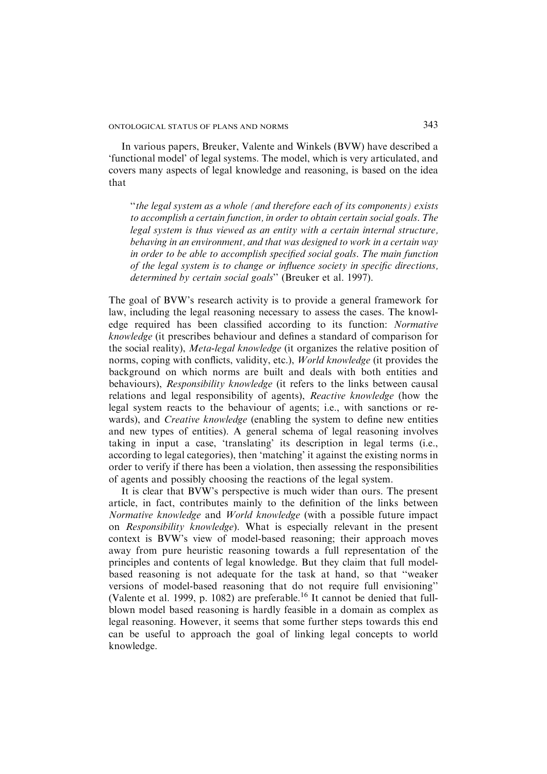In various papers, Breuker, Valente and Winkels (BVW) have described a 'functional model' of legal systems. The model, which is very articulated, and covers many aspects of legal knowledge and reasoning, is based on the idea that

''the legal system as a whole (and therefore each of its components) exists to accomplish a certain function, in order to obtain certain social goals. The legal system is thus viewed as an entity with a certain internal structure, behaving in an environment, and that was designed to work in a certain way in order to be able to accomplish specified social goals. The main function of the legal system is to change or influence society in specific directions, determined by certain social goals" (Breuker et al. 1997).

The goal of BVW's research activity is to provide a general framework for law, including the legal reasoning necessary to assess the cases. The knowledge required has been classified according to its function: Normative knowledge (it prescribes behaviour and defines a standard of comparison for the social reality), Meta-legal knowledge (it organizes the relative position of norms, coping with conflicts, validity, etc.), *World knowledge* (it provides the background on which norms are built and deals with both entities and behaviours), *Responsibility knowledge* (it refers to the links between causal relations and legal responsibility of agents), Reactive knowledge (how the legal system reacts to the behaviour of agents; i.e., with sanctions or rewards), and Creative knowledge (enabling the system to define new entities and new types of entities). A general schema of legal reasoning involves taking in input a case, 'translating' its description in legal terms (i.e., according to legal categories), then 'matching' it against the existing norms in order to verify if there has been a violation, then assessing the responsibilities of agents and possibly choosing the reactions of the legal system.

It is clear that BVW's perspective is much wider than ours. The present article, in fact, contributes mainly to the definition of the links between Normative knowledge and World knowledge (with a possible future impact on Responsibility knowledge). What is especially relevant in the present context is BVW's view of model-based reasoning; their approach moves away from pure heuristic reasoning towards a full representation of the principles and contents of legal knowledge. But they claim that full modelbased reasoning is not adequate for the task at hand, so that ''weaker versions of model-based reasoning that do not require full envisioning'' (Valente et al. 1999, p. 1082) are preferable.<sup>16</sup> It cannot be denied that fullblown model based reasoning is hardly feasible in a domain as complex as legal reasoning. However, it seems that some further steps towards this end can be useful to approach the goal of linking legal concepts to world knowledge.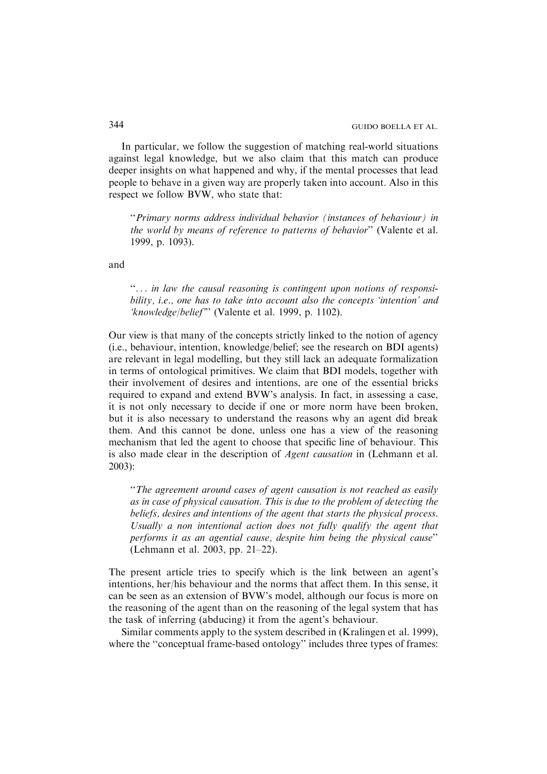In particular, we follow the suggestion of matching real-world situations against legal knowledge, but we also claim that this match can produce deeper insights on what happened and why, if the mental processes that lead people to behave in a given way are properly taken into account. Also in this respect we follow BVW, who state that:

''Primary norms address individual behavior (instances of behaviour) in the world by means of reference to patterns of behavior'' (Valente et al. 1999, p. 1093).

and

''... in law the causal reasoning is contingent upon notions of responsibility, i.e., one has to take into account also the concepts 'intention' and 'knowledge/belief''' (Valente et al. 1999, p. 1102).

Our view is that many of the concepts strictly linked to the notion of agency (i.e., behaviour, intention, knowledge/belief; see the research on BDI agents) are relevant in legal modelling, but they still lack an adequate formalization in terms of ontological primitives. We claim that BDI models, together with their involvement of desires and intentions, are one of the essential bricks required to expand and extend BVW's analysis. In fact, in assessing a case, it is not only necessary to decide if one or more norm have been broken, but it is also necessary to understand the reasons why an agent did break them. And this cannot be done, unless one has a view of the reasoning mechanism that led the agent to choose that specific line of behaviour. This is also made clear in the description of Agent causation in (Lehmann et al. 2003):

''The agreement around cases of agent causation is not reached as easily as in case of physical causation. This is due to the problem of detecting the beliefs, desires and intentions of the agent that starts the physical process. Usually a non intentional action does not fully qualify the agent that performs it as an agential cause, despite him being the physical cause'' (Lehmann et al. 2003, pp. 21–22).

The present article tries to specify which is the link between an agent's intentions, her/his behaviour and the norms that affect them. In this sense, it can be seen as an extension of BVW's model, although our focus is more on the reasoning of the agent than on the reasoning of the legal system that has the task of inferring (abducing) it from the agent's behaviour.

Similar comments apply to the system described in (Kralingen et al. 1999), where the "conceptual frame-based ontology" includes three types of frames: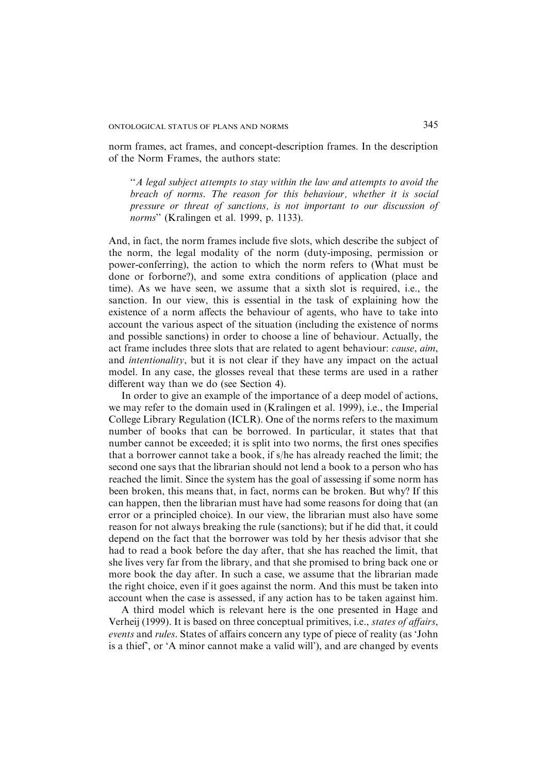norm frames, act frames, and concept-description frames. In the description of the Norm Frames, the authors state:

''A legal subject attempts to stay within the law and attempts to avoid the breach of norms. The reason for this behaviour, whether it is social pressure or threat of sanctions, is not important to our discussion of norms'' (Kralingen et al. 1999, p. 1133).

And, in fact, the norm frames include five slots, which describe the subject of the norm, the legal modality of the norm (duty-imposing, permission or power-conferring), the action to which the norm refers to (What must be done or forborne?), and some extra conditions of application (place and time). As we have seen, we assume that a sixth slot is required, i.e., the sanction. In our view, this is essential in the task of explaining how the existence of a norm affects the behaviour of agents, who have to take into account the various aspect of the situation (including the existence of norms and possible sanctions) in order to choose a line of behaviour. Actually, the act frame includes three slots that are related to agent behaviour: cause, aim, and intentionality, but it is not clear if they have any impact on the actual model. In any case, the glosses reveal that these terms are used in a rather different way than we do (see Section 4).

In order to give an example of the importance of a deep model of actions, we may refer to the domain used in (Kralingen et al. 1999), i.e., the Imperial College Library Regulation (ICLR). One of the norms refers to the maximum number of books that can be borrowed. In particular, it states that that number cannot be exceeded; it is split into two norms, the first ones specifies that a borrower cannot take a book, if s/he has already reached the limit; the second one says that the librarian should not lend a book to a person who has reached the limit. Since the system has the goal of assessing if some norm has been broken, this means that, in fact, norms can be broken. But why? If this can happen, then the librarian must have had some reasons for doing that (an error or a principled choice). In our view, the librarian must also have some reason for not always breaking the rule (sanctions); but if he did that, it could depend on the fact that the borrower was told by her thesis advisor that she had to read a book before the day after, that she has reached the limit, that she lives very far from the library, and that she promised to bring back one or more book the day after. In such a case, we assume that the librarian made the right choice, even if it goes against the norm. And this must be taken into account when the case is assessed, if any action has to be taken against him.

A third model which is relevant here is the one presented in Hage and Verheij (1999). It is based on three conceptual primitives, i.e., states of affairs, events and rules. States of affairs concern any type of piece of reality (as 'John is a thief', or 'A minor cannot make a valid will'), and are changed by events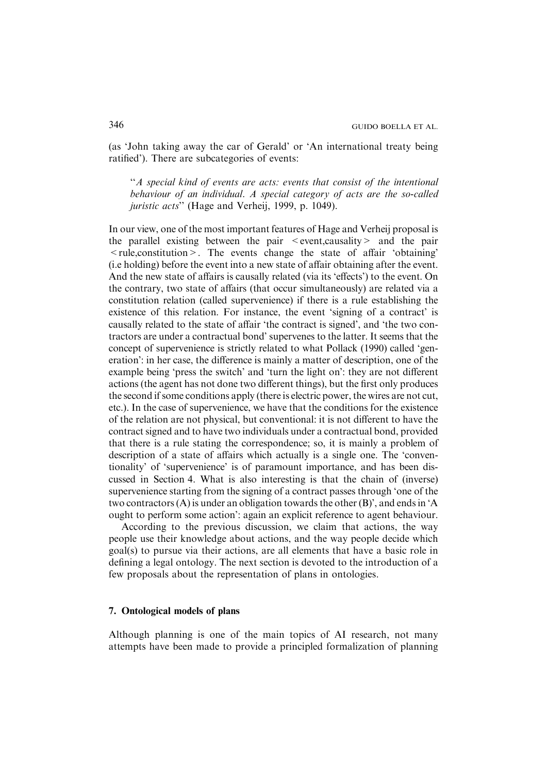(as 'John taking away the car of Gerald' or 'An international treaty being ratified'). There are subcategories of events:

''A special kind of events are acts: events that consist of the intentional behaviour of an individual. A special category of acts are the so-called juristic acts" (Hage and Verheij, 1999, p. 1049).

In our view, one of the most important features of Hage and Verheij proposal is the parallel existing between the pair  $\le$  event, causality  $>$  and the pair <rule,constitution>. The events change the state of affair 'obtaining' (i.e holding) before the event into a new state of affair obtaining after the event. And the new state of affairs is causally related (via its 'effects') to the event. On the contrary, two state of affairs (that occur simultaneously) are related via a constitution relation (called supervenience) if there is a rule establishing the existence of this relation. For instance, the event 'signing of a contract' is causally related to the state of affair 'the contract is signed', and 'the two contractors are under a contractual bond' supervenes to the latter. It seems that the concept of supervenience is strictly related to what Pollack (1990) called 'generation': in her case, the difference is mainly a matter of description, one of the example being 'press the switch' and 'turn the light on': they are not different actions (the agent has not done two different things), but the first only produces the second if some conditions apply (there is electric power, the wires are not cut, etc.). In the case of supervenience, we have that the conditions for the existence of the relation are not physical, but conventional: it is not different to have the contract signed and to have two individuals under a contractual bond, provided that there is a rule stating the correspondence; so, it is mainly a problem of description of a state of affairs which actually is a single one. The 'conventionality' of 'supervenience' is of paramount importance, and has been discussed in Section 4. What is also interesting is that the chain of (inverse) supervenience starting from the signing of a contract passes through 'one of the two contractors (A) is under an obligation towards the other (B)', and ends in 'A ought to perform some action': again an explicit reference to agent behaviour.

According to the previous discussion, we claim that actions, the way people use their knowledge about actions, and the way people decide which goal(s) to pursue via their actions, are all elements that have a basic role in defining a legal ontology. The next section is devoted to the introduction of a few proposals about the representation of plans in ontologies.

## 7. Ontological models of plans

Although planning is one of the main topics of AI research, not many attempts have been made to provide a principled formalization of planning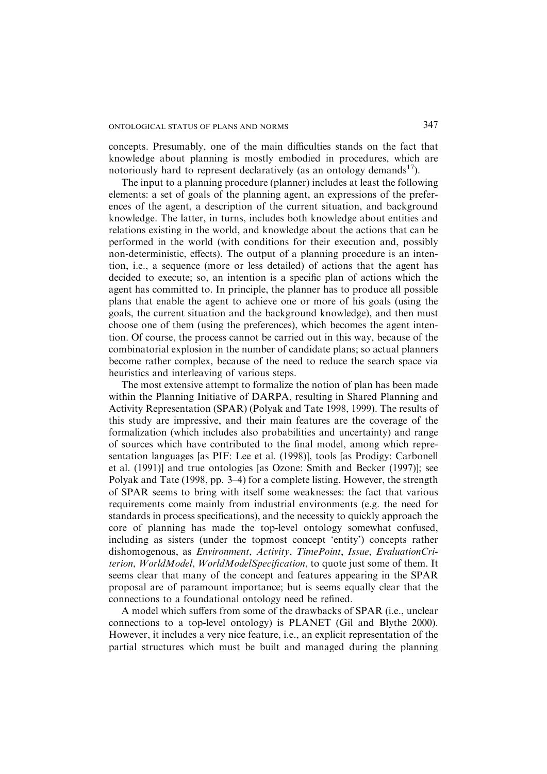concepts. Presumably, one of the main difficulties stands on the fact that knowledge about planning is mostly embodied in procedures, which are notoriously hard to represent declaratively (as an ontology demands<sup>17</sup>).

The input to a planning procedure (planner) includes at least the following elements: a set of goals of the planning agent, an expressions of the preferences of the agent, a description of the current situation, and background knowledge. The latter, in turns, includes both knowledge about entities and relations existing in the world, and knowledge about the actions that can be performed in the world (with conditions for their execution and, possibly non-deterministic, effects). The output of a planning procedure is an intention, i.e., a sequence (more or less detailed) of actions that the agent has decided to execute; so, an intention is a specific plan of actions which the agent has committed to. In principle, the planner has to produce all possible plans that enable the agent to achieve one or more of his goals (using the goals, the current situation and the background knowledge), and then must choose one of them (using the preferences), which becomes the agent intention. Of course, the process cannot be carried out in this way, because of the combinatorial explosion in the number of candidate plans; so actual planners become rather complex, because of the need to reduce the search space via heuristics and interleaving of various steps.

The most extensive attempt to formalize the notion of plan has been made within the Planning Initiative of DARPA, resulting in Shared Planning and Activity Representation (SPAR) (Polyak and Tate 1998, 1999). The results of this study are impressive, and their main features are the coverage of the formalization (which includes also probabilities and uncertainty) and range of sources which have contributed to the final model, among which representation languages [as PIF: Lee et al. (1998)], tools [as Prodigy: Carbonell et al. (1991)] and true ontologies [as Ozone: Smith and Becker (1997)]; see Polyak and Tate (1998, pp. 3–4) for a complete listing. However, the strength of SPAR seems to bring with itself some weaknesses: the fact that various requirements come mainly from industrial environments (e.g. the need for standards in process specifications), and the necessity to quickly approach the core of planning has made the top-level ontology somewhat confused, including as sisters (under the topmost concept 'entity') concepts rather dishomogenous, as Environment, Activity, TimePoint, Issue, EvaluationCriterion, WorldModel, WorldModelSpecification, to quote just some of them. It seems clear that many of the concept and features appearing in the SPAR proposal are of paramount importance; but is seems equally clear that the connections to a foundational ontology need be refined.

A model which suffers from some of the drawbacks of SPAR (i.e., unclear connections to a top-level ontology) is PLANET (Gil and Blythe 2000). However, it includes a very nice feature, i.e., an explicit representation of the partial structures which must be built and managed during the planning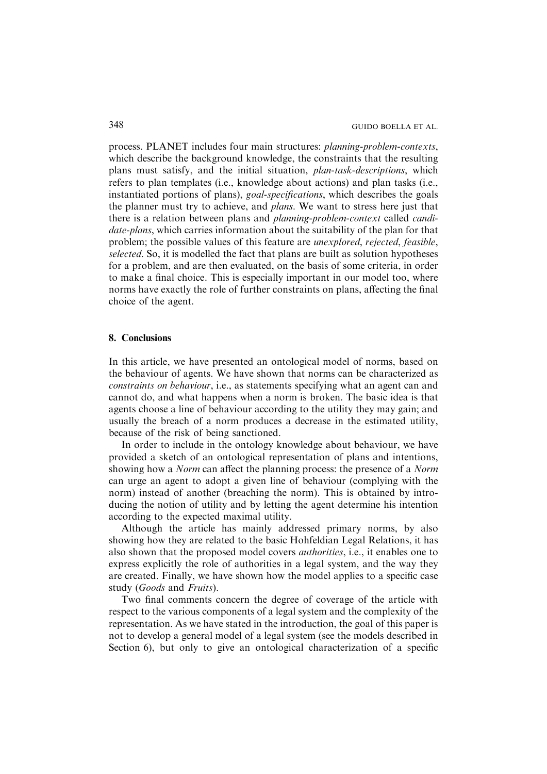process. PLANET includes four main structures: planning-problem-contexts, which describe the background knowledge, the constraints that the resulting plans must satisfy, and the initial situation, plan-task-descriptions, which refers to plan templates (i.e., knowledge about actions) and plan tasks (i.e., instantiated portions of plans), goal-specifications, which describes the goals the planner must try to achieve, and plans. We want to stress here just that there is a relation between plans and planning-problem-context called candidate-plans, which carries information about the suitability of the plan for that problem; the possible values of this feature are unexplored, rejected, feasible, selected. So, it is modelled the fact that plans are built as solution hypotheses for a problem, and are then evaluated, on the basis of some criteria, in order to make a final choice. This is especially important in our model too, where norms have exactly the role of further constraints on plans, affecting the final choice of the agent.

## 8. Conclusions

In this article, we have presented an ontological model of norms, based on the behaviour of agents. We have shown that norms can be characterized as constraints on behaviour, i.e., as statements specifying what an agent can and cannot do, and what happens when a norm is broken. The basic idea is that agents choose a line of behaviour according to the utility they may gain; and usually the breach of a norm produces a decrease in the estimated utility, because of the risk of being sanctioned.

In order to include in the ontology knowledge about behaviour, we have provided a sketch of an ontological representation of plans and intentions, showing how a *Norm* can affect the planning process: the presence of a *Norm* can urge an agent to adopt a given line of behaviour (complying with the norm) instead of another (breaching the norm). This is obtained by introducing the notion of utility and by letting the agent determine his intention according to the expected maximal utility.

Although the article has mainly addressed primary norms, by also showing how they are related to the basic Hohfeldian Legal Relations, it has also shown that the proposed model covers authorities, i.e., it enables one to express explicitly the role of authorities in a legal system, and the way they are created. Finally, we have shown how the model applies to a specific case study (Goods and Fruits).

Two final comments concern the degree of coverage of the article with respect to the various components of a legal system and the complexity of the representation. As we have stated in the introduction, the goal of this paper is not to develop a general model of a legal system (see the models described in Section 6), but only to give an ontological characterization of a specific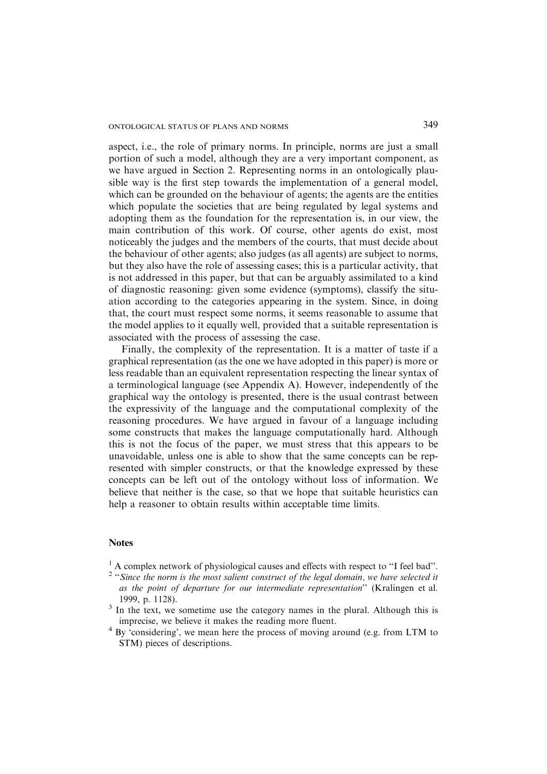aspect, i.e., the role of primary norms. In principle, norms are just a small portion of such a model, although they are a very important component, as we have argued in Section 2. Representing norms in an ontologically plausible way is the first step towards the implementation of a general model, which can be grounded on the behaviour of agents; the agents are the entities which populate the societies that are being regulated by legal systems and adopting them as the foundation for the representation is, in our view, the main contribution of this work. Of course, other agents do exist, most noticeably the judges and the members of the courts, that must decide about the behaviour of other agents; also judges (as all agents) are subject to norms, but they also have the role of assessing cases; this is a particular activity, that is not addressed in this paper, but that can be arguably assimilated to a kind of diagnostic reasoning: given some evidence (symptoms), classify the situation according to the categories appearing in the system. Since, in doing that, the court must respect some norms, it seems reasonable to assume that the model applies to it equally well, provided that a suitable representation is associated with the process of assessing the case.

Finally, the complexity of the representation. It is a matter of taste if a graphical representation (as the one we have adopted in this paper) is more or less readable than an equivalent representation respecting the linear syntax of a terminological language (see Appendix A). However, independently of the graphical way the ontology is presented, there is the usual contrast between the expressivity of the language and the computational complexity of the reasoning procedures. We have argued in favour of a language including some constructs that makes the language computationally hard. Although this is not the focus of the paper, we must stress that this appears to be unavoidable, unless one is able to show that the same concepts can be represented with simpler constructs, or that the knowledge expressed by these concepts can be left out of the ontology without loss of information. We believe that neither is the case, so that we hope that suitable heuristics can help a reasoner to obtain results within acceptable time limits.

## **Notes**

- <sup>1</sup> A complex network of physiological causes and effects with respect to "I feel bad".
- $2$  "Since the norm is the most salient construct of the legal domain, we have selected it as the point of departure for our intermediate representation'' (Kralingen et al. 1999, p. 1128).
- <sup>3</sup> In the text, we sometime use the category names in the plural. Although this is imprecise, we believe it makes the reading more fluent.
- <sup>4</sup> By 'considering', we mean here the process of moving around (e.g. from LTM to STM) pieces of descriptions.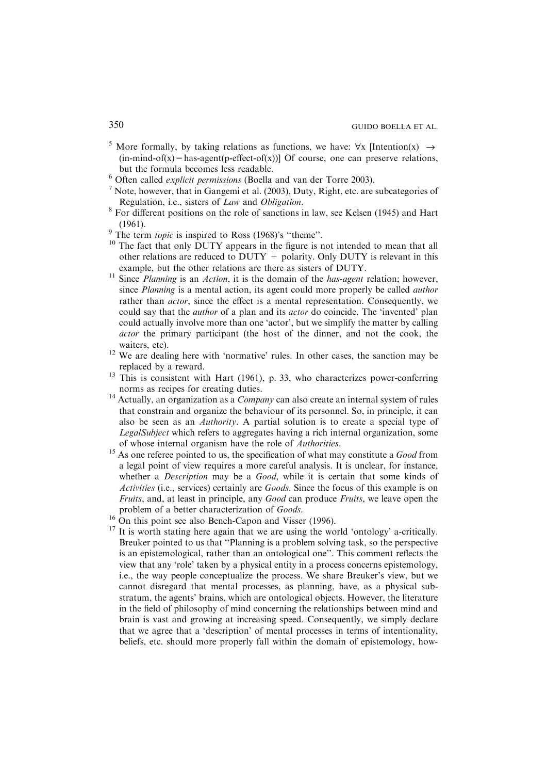- <sup>5</sup> More formally, by taking relations as functions, we have:  $\forall x$  [Intention(x)  $\rightarrow$  $(in\text{-}mind\text{-}of(x) = has\text{-}agent(p\text{-}effect\text{-}of(x))]$  Of course, one can preserve relations, but the formula becomes less readable.
- $6$  Often called *explicit permissions* (Boella and van der Torre 2003).
- $<sup>7</sup>$  Note, however, that in Gangemi et al. (2003), Duty, Right, etc. are subcategories of</sup> Regulation, i.e., sisters of *Law* and *Obligation*.<br><sup>8</sup> For different positions on the role of sanctions in law, see Kelsen (1945) and Hart
- (1961).
- $9$  The term *topic* is inspired to Ross (1968)'s "theme".
- <sup>10</sup> The fact that only DUTY appears in the figure is not intended to mean that all other relations are reduced to  $DUTY$  + polarity. Only  $DUTY$  is relevant in this example, but the other relations are there as sisters of DUTY.
- <sup>11</sup> Since *Planning* is an *Action*, it is the domain of the *has-agent* relation; however, since Planning is a mental action, its agent could more properly be called *author* rather than actor, since the effect is a mental representation. Consequently, we could say that the author of a plan and its actor do coincide. The 'invented' plan could actually involve more than one 'actor', but we simplify the matter by calling actor the primary participant (the host of the dinner, and not the cook, the waiters, etc).
- <sup>12</sup> We are dealing here with 'normative' rules. In other cases, the sanction may be replaced by a reward.
- $13$  This is consistent with Hart (1961), p. 33, who characterizes power-conferring norms as recipes for creating duties.
- $14$  Actually, an organization as a *Company* can also create an internal system of rules that constrain and organize the behaviour of its personnel. So, in principle, it can also be seen as an Authority. A partial solution is to create a special type of LegalSubject which refers to aggregates having a rich internal organization, some
- of whose internal organism have the role of *Authorities*.<br><sup>15</sup> As one referee pointed to us, the specification of what may constitute a *Good* from a legal point of view requires a more careful analysis. It is unclear, for instance, whether a *Description* may be a *Good*, while it is certain that some kinds of Activities (i.e., services) certainly are Goods. Since the focus of this example is on Fruits, and, at least in principle, any *Good* can produce Fruits, we leave open the problem of a better characterization of *Goods*.
- <sup>16</sup> On this point see also Bench-Capon and Visser (1996).
- <sup>17</sup> It is worth stating here again that we are using the world 'ontology' a-critically. Breuker pointed to us that ''Planning is a problem solving task, so the perspective is an epistemological, rather than an ontological one''. This comment reflects the view that any 'role' taken by a physical entity in a process concerns epistemology, i.e., the way people conceptualize the process. We share Breuker's view, but we cannot disregard that mental processes, as planning, have, as a physical substratum, the agents' brains, which are ontological objects. However, the literature in the field of philosophy of mind concerning the relationships between mind and brain is vast and growing at increasing speed. Consequently, we simply declare that we agree that a 'description' of mental processes in terms of intentionality, beliefs, etc. should more properly fall within the domain of epistemology, how-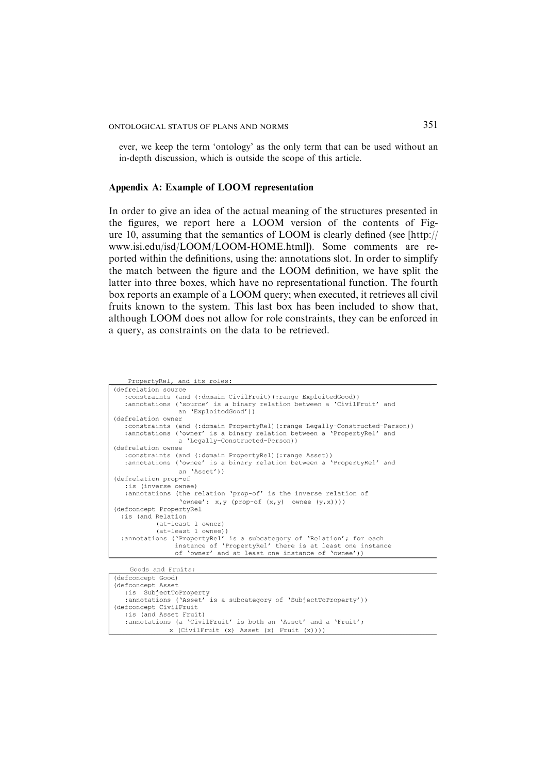ever, we keep the term 'ontology' as the only term that can be used without an in-depth discussion, which is outside the scope of this article.

### Appendix A: Example of LOOM representation

In order to give an idea of the actual meaning of the structures presented in the figures, we report here a LOOM version of the contents of Figure 10, assuming that the semantics of LOOM is clearly defined (see [http:// www.isi.edu/isd/LOOM/LOOM-HOME.html]). Some comments are reported within the definitions, using the: annotations slot. In order to simplify the match between the figure and the LOOM definition, we have split the latter into three boxes, which have no representational function. The fourth box reports an example of a LOOM query; when executed, it retrieves all civil fruits known to the system. This last box has been included to show that, although LOOM does not allow for role constraints, they can be enforced in a query, as constraints on the data to be retrieved.

```
PropertyRel,
                and its roles:
(defrelation source)
  :constraints (and (:domain CivilFruit)(:range ExploitedGood))
  :annotations ('source' is a binary relation between a 'CivilFruit' and
                an 'ExploitedGood'))
(defrelation owner
  :constraints (and (:domain PropertyRel) (:range Legally-Constructed-Person))
  :annotations ('owner' is a binary relation between a 'PropertyRel' and
                a 'Legally-Constructed-Person))
(defrelation ownee
  : constraints (and (: domain PropertyRel) (: range Asset))
  :annotations ('ownee' is a binary relation between a 'PropertyRel' and
                an 'Asset'))
(defrelation prop-of
  : is (inverse ownee)
  :annotations (the relation 'prop-of' is the inverse relation of
                 'ownee': x, y (prop-of (x, y) ownee (y, x)))
(defconcept PropertyRel
  :is (and Relation
          (at-least 1 owner)
           (at-least 1 ownee))
  :annotations ('PropertyRel' is a subcategory of 'Relation'; for each
                instance of 'PropertyRel' there is at least one instance
                of 'owner' and at least one instance of 'ownee'))
```

```
Goods and Fruits:
(defconcept Good)
(defconcept Asset
  :is SubjectToProperty
  :annotations ('Asset' is a subcategory of 'SubjectToProperty'))
(defconcept CivilFruit
  : is (and Asset Fruit)
  :annotations (a 'CivilFruit' is both an 'Asset' and a 'Fruit';
             x (CivilFruit (x) Asset (x) Fruit (x))))
```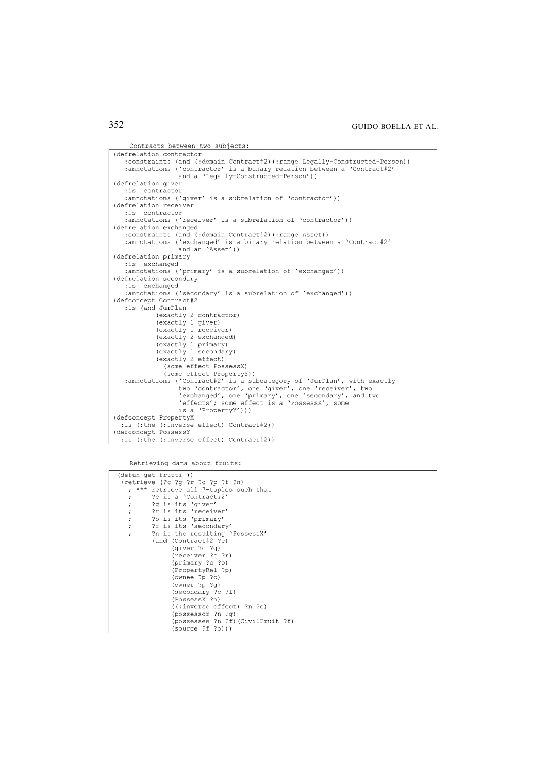352 GUIDO BOELLA ET AL.

```
Contracts between two subjects:
(defrelation contractor
   :constraints (and (:domain Contract#2)(:range Legally-Constructed-Person))<br>:annotations ('contractor' is a binary relation between a 'Contract#2'
                      and a 'Legally-Constructed-Person'))
(defrelation giver
    :is contractor
    :annotations ('giver' is a subrelation of 'contractor'))
(defrelation receiver
   :is contractor
    :annotations ('receiver' is a subrelation of 'contractor'))
(defrelation exchanged
   :constraints (and (:domain Contract#2) (:range Asset))
   :constraints (and (:domain Contract#2)(:range Asset))<br>:annotations ('exchanged' is a binary relation between a 'Contract#2'<br>and an 'Asset'))
(defrelation primary
   :is exchanged
    :annotations ('primary' is a subrelation of 'exchanged'))
(defrelation secondary
   :is exchanged
    :annotations ('secondary' is a subrelation of 'exchanged'))
(defconcept Contract#2
   :is (and JurPlan
               (exactly 2 contractor)
               (exactly 1 giver)
               (exactly 1 receiver)
               (exactly 2 exchanged)
               (exactly 2 exchange)<br>(exactly 1 primary)
               (exactly 1 primary)<br>(exactly 1 secondary)<br>(exactly 2 effect)
                  (some effect PossessX)
   (some effect Property))<br>
(some effect Property))<br>
:annotations ('Contract#2' is a subcategory of 'JurPlan', with exactly<br>
two 'contractor', one 'giver', one 'receiver', two<br>
'exchanged', one 'primary', one 'secondary', and
                       'effects'; some effect is a 'PossessX', some
                       is a 'PropertyY')))
(defconcept PropertyX
: is (: the (: inverse effect) Contract#2))<br>(defconcept PossessY
  : is (:the (:inverse effect) Contract#2))
```
Retrieving data about fruits:

```
(detun get-frutti)(retrieve (?c ?g ?r ?o ?p ?f ?n)<br>
i *** retrieve all 7-tuples such that<br>
i ?c is a 'Contract#2'
              ?g is its 'giver'<br>?r is its 'receiver'
    \cdot\cdot:
               ?o is its 'primary'
    \cdot?f is its 'secondary'
               ?n is the resulting 'PossessX'
    \cdot(and (Contract#2 ?c)
                       (contract+2:c)<br>(giver ?c ?g)<br>(receiver ?c ?r)
                        (primary ?c ?o)
                        (PropertyRel ?p)
                        ( \overline{ \text{owane } ?p} ?o )<br>( \overline{ \text{owner } ?p} ?q )(secondary \, ?c \, ?f)(PossessX ?n)
                        ((:inverse effect) ?n ?c)
                        (possessor ?n ?g)
                       (possessor ?n ?g)<br>(possessee ?n ?f) (CivilFruit ?f)<br>(source ?f ?o)))
```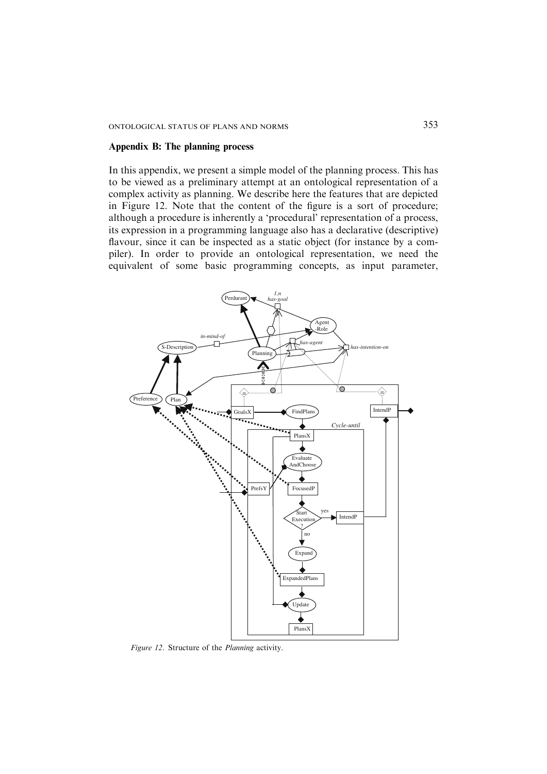### Appendix B: The planning process

In this appendix, we present a simple model of the planning process. This has to be viewed as a preliminary attempt at an ontological representation of a complex activity as planning. We describe here the features that are depicted in Figure 12. Note that the content of the figure is a sort of procedure; although a procedure is inherently a 'procedural' representation of a process, its expression in a programming language also has a declarative (descriptive) flavour, since it can be inspected as a static object (for instance by a compiler). In order to provide an ontological representation, we need the equivalent of some basic programming concepts, as input parameter,



Figure 12. Structure of the Planning activity.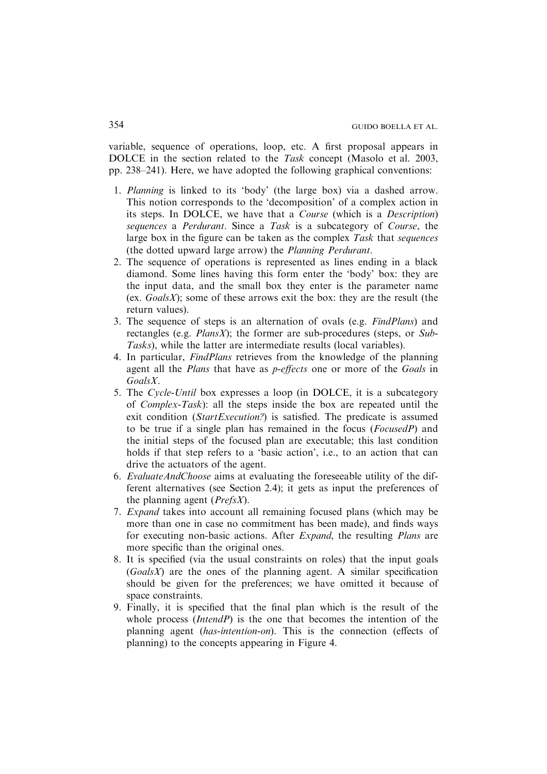variable, sequence of operations, loop, etc. A first proposal appears in DOLCE in the section related to the Task concept (Masolo et al. 2003, pp. 238–241). Here, we have adopted the following graphical conventions:

- 1. Planning is linked to its 'body' (the large box) via a dashed arrow. This notion corresponds to the 'decomposition' of a complex action in its steps. In DOLCE, we have that a Course (which is a Description) sequences a Perdurant. Since a Task is a subcategory of Course, the large box in the figure can be taken as the complex Task that sequences (the dotted upward large arrow) the Planning Perdurant.
- 2. The sequence of operations is represented as lines ending in a black diamond. Some lines having this form enter the 'body' box: they are the input data, and the small box they enter is the parameter name (ex. GoalsX); some of these arrows exit the box: they are the result (the return values).
- 3. The sequence of steps is an alternation of ovals (e.g. FindPlans) and rectangles (e.g. PlansX); the former are sub-procedures (steps, or Sub-Tasks), while the latter are intermediate results (local variables).
- 4. In particular, FindPlans retrieves from the knowledge of the planning agent all the *Plans* that have as *p*-effects one or more of the *Goals* in GoalsX.
- 5. The Cycle-Until box expresses a loop (in DOLCE, it is a subcategory of Complex-Task): all the steps inside the box are repeated until the exit condition (StartExecution?) is satisfied. The predicate is assumed to be true if a single plan has remained in the focus (FocusedP) and the initial steps of the focused plan are executable; this last condition holds if that step refers to a 'basic action', i.e., to an action that can drive the actuators of the agent.
- 6. EvaluateAndChoose aims at evaluating the foreseeable utility of the different alternatives (see Section 2.4); it gets as input the preferences of the planning agent  $(PrefsX)$ .
- 7. Expand takes into account all remaining focused plans (which may be more than one in case no commitment has been made), and finds ways for executing non-basic actions. After *Expand*, the resulting *Plans* are more specific than the original ones.
- 8. It is specified (via the usual constraints on roles) that the input goals  $(GoalsX)$  are the ones of the planning agent. A similar specification should be given for the preferences; we have omitted it because of space constraints.
- 9. Finally, it is specified that the final plan which is the result of the whole process *(IntendP)* is the one that becomes the intention of the planning agent (has-intention-on). This is the connection (effects of planning) to the concepts appearing in Figure 4.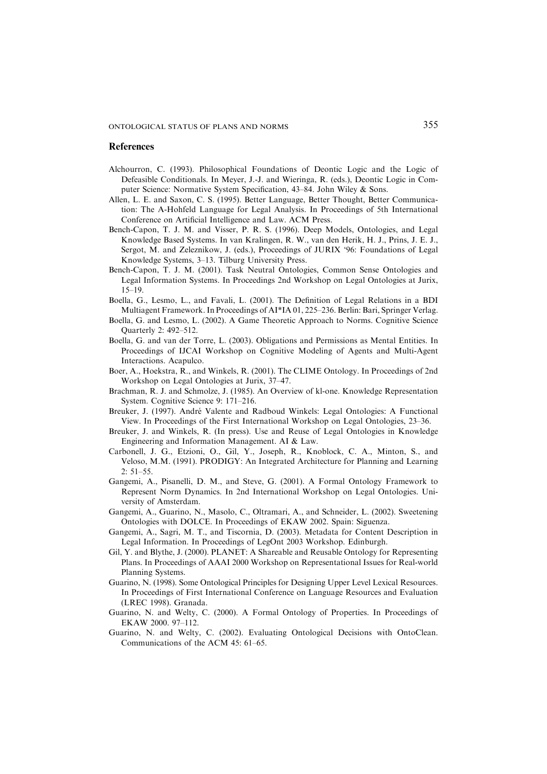## ONTOLOGICAL STATUS OF PLANS AND NORMS 355

#### References

- Alchourron, C. (1993). Philosophical Foundations of Deontic Logic and the Logic of Defeasible Conditionals. In Meyer, J.-J. and Wieringa, R. (eds.), Deontic Logic in Computer Science: Normative System Specification, 43–84. John Wiley & Sons.
- Allen, L. E. and Saxon, C. S. (1995). Better Language, Better Thought, Better Communication: The A-Hohfeld Language for Legal Analysis. In Proceedings of 5th International Conference on Artificial Intelligence and Law. ACM Press.
- Bench-Capon, T. J. M. and Visser, P. R. S. (1996). Deep Models, Ontologies, and Legal Knowledge Based Systems. In van Kralingen, R. W., van den Herik, H. J., Prins, J. E. J., Sergot, M. and Zeleznikow, J. (eds.), Proceedings of JURIX '96: Foundations of Legal Knowledge Systems, 3–13. Tilburg University Press.
- Bench-Capon, T. J. M. (2001). Task Neutral Ontologies, Common Sense Ontologies and Legal Information Systems. In Proceedings 2nd Workshop on Legal Ontologies at Jurix, 15–19.
- Boella, G., Lesmo, L., and Favali, L. (2001). The Definition of Legal Relations in a BDI Multiagent Framework. In Proceedings of AI\*IA 01, 225–236. Berlin: Bari, Springer Verlag.
- Boella, G. and Lesmo, L. (2002). A Game Theoretic Approach to Norms. Cognitive Science Quarterly 2: 492–512.
- Boella, G. and van der Torre, L. (2003). Obligations and Permissions as Mental Entities. In Proceedings of IJCAI Workshop on Cognitive Modeling of Agents and Multi-Agent Interactions. Acapulco.
- Boer, A., Hoekstra, R., and Winkels, R. (2001). The CLIME Ontology. In Proceedings of 2nd Workshop on Legal Ontologies at Jurix, 37–47.
- Brachman, R. J. and Schmolze, J. (1985). An Overview of kl-one. Knowledge Representation System. Cognitive Science 9: 171–216.
- Breuker, J. (1997). André Valente and Radboud Winkels: Legal Ontologies: A Functional View. In Proceedings of the First International Workshop on Legal Ontologies, 23–36.
- Breuker, J. and Winkels, R. (In press). Use and Reuse of Legal Ontologies in Knowledge Engineering and Information Management. AI & Law.
- Carbonell, J. G., Etzioni, O., Gil, Y., Joseph, R., Knoblock, C. A., Minton, S., and Veloso, M.M. (1991). PRODIGY: An Integrated Architecture for Planning and Learning 2: 51–55.
- Gangemi, A., Pisanelli, D. M., and Steve, G. (2001). A Formal Ontology Framework to Represent Norm Dynamics. In 2nd International Workshop on Legal Ontologies. University of Amsterdam.
- Gangemi, A., Guarino, N., Masolo, C., Oltramari, A., and Schneider, L. (2002). Sweetening Ontologies with DOLCE. In Proceedings of EKAW 2002. Spain: Siguenza.
- Gangemi, A., Sagri, M. T., and Tiscornia, D. (2003). Metadata for Content Description in Legal Information. In Proceedings of LegOnt 2003 Workshop. Edinburgh.
- Gil, Y. and Blythe, J. (2000). PLANET: A Shareable and Reusable Ontology for Representing Plans. In Proceedings of AAAI 2000 Workshop on Representational Issues for Real-world Planning Systems.
- Guarino, N. (1998). Some Ontological Principles for Designing Upper Level Lexical Resources. In Proceedings of First International Conference on Language Resources and Evaluation (LREC 1998). Granada.
- Guarino, N. and Welty, C. (2000). A Formal Ontology of Properties. In Proceedings of EKAW 2000. 97–112.
- Guarino, N. and Welty, C. (2002). Evaluating Ontological Decisions with OntoClean. Communications of the ACM 45: 61–65.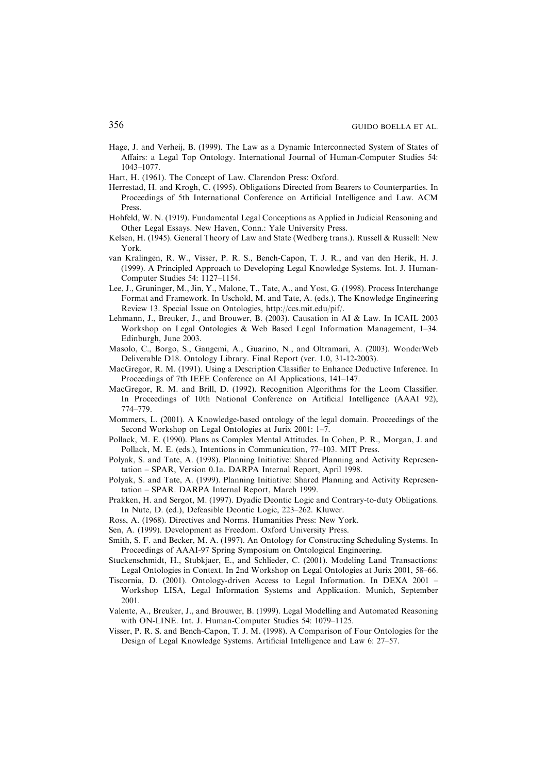- Hage, J. and Verheij, B. (1999). The Law as a Dynamic Interconnected System of States of Affairs: a Legal Top Ontology. International Journal of Human-Computer Studies 54: 1043–1077.
- Hart, H. (1961). The Concept of Law. Clarendon Press: Oxford.
- Herrestad, H. and Krogh, C. (1995). Obligations Directed from Bearers to Counterparties. In Proceedings of 5th International Conference on Artificial Intelligence and Law. ACM Press.
- Hohfeld, W. N. (1919). Fundamental Legal Conceptions as Applied in Judicial Reasoning and Other Legal Essays. New Haven, Conn.: Yale University Press.
- Kelsen, H. (1945). General Theory of Law and State (Wedberg trans.). Russell & Russell: New York.
- van Kralingen, R. W., Visser, P. R. S., Bench-Capon, T. J. R., and van den Herik, H. J. (1999). A Principled Approach to Developing Legal Knowledge Systems. Int. J. Human-Computer Studies 54: 1127–1154.
- Lee, J., Gruninger, M., Jin, Y., Malone, T., Tate, A., and Yost, G. (1998). Process Interchange Format and Framework. In Uschold, M. and Tate, A. (eds.), The Knowledge Engineering Review 13. Special Issue on Ontologies, http://ccs.mit.edu/pif/.
- Lehmann, J., Breuker, J., and Brouwer, B. (2003). Causation in AI & Law. In ICAIL 2003 Workshop on Legal Ontologies & Web Based Legal Information Management, 1–34. Edinburgh, June 2003.
- Masolo, C., Borgo, S., Gangemi, A., Guarino, N., and Oltramari, A. (2003). WonderWeb Deliverable D18. Ontology Library. Final Report (ver. 1.0, 31-12-2003).
- MacGregor, R. M. (1991). Using a Description Classifier to Enhance Deductive Inference. In Proceedings of 7th IEEE Conference on AI Applications, 141–147.
- MacGregor, R. M. and Brill, D. (1992). Recognition Algorithms for the Loom Classifier. In Proceedings of 10th National Conference on Artificial Intelligence (AAAI 92), 774–779.
- Mommers, L. (2001). A Knowledge-based ontology of the legal domain. Proceedings of the Second Workshop on Legal Ontologies at Jurix 2001: 1–7.
- Pollack, M. E. (1990). Plans as Complex Mental Attitudes. In Cohen, P. R., Morgan, J. and Pollack, M. E. (eds.), Intentions in Communication, 77–103. MIT Press.
- Polyak, S. and Tate, A. (1998). Planning Initiative: Shared Planning and Activity Representation – SPAR, Version 0.1a. DARPA Internal Report, April 1998.
- Polyak, S. and Tate, A. (1999). Planning Initiative: Shared Planning and Activity Representation – SPAR. DARPA Internal Report, March 1999.
- Prakken, H. and Sergot, M. (1997). Dyadic Deontic Logic and Contrary-to-duty Obligations. In Nute, D. (ed.), Defeasible Deontic Logic, 223–262. Kluwer.
- Ross, A. (1968). Directives and Norms. Humanities Press: New York.
- Sen, A. (1999). Development as Freedom. Oxford University Press.
- Smith, S. F. and Becker, M. A. (1997). An Ontology for Constructing Scheduling Systems. In Proceedings of AAAI-97 Spring Symposium on Ontological Engineering.
- Stuckenschmidt, H., Stubkjaer, E., and Schlieder, C. (2001). Modeling Land Transactions: Legal Ontologies in Context. In 2nd Workshop on Legal Ontologies at Jurix 2001, 58–66.
- Tiscornia, D. (2001). Ontology-driven Access to Legal Information. In DEXA 2001 Workshop LISA, Legal Information Systems and Application. Munich, September 2001.
- Valente, A., Breuker, J., and Brouwer, B. (1999). Legal Modelling and Automated Reasoning with ON-LINE. Int. J. Human-Computer Studies 54: 1079–1125.
- Visser, P. R. S. and Bench-Capon, T. J. M. (1998). A Comparison of Four Ontologies for the Design of Legal Knowledge Systems. Artificial Intelligence and Law 6: 27–57.